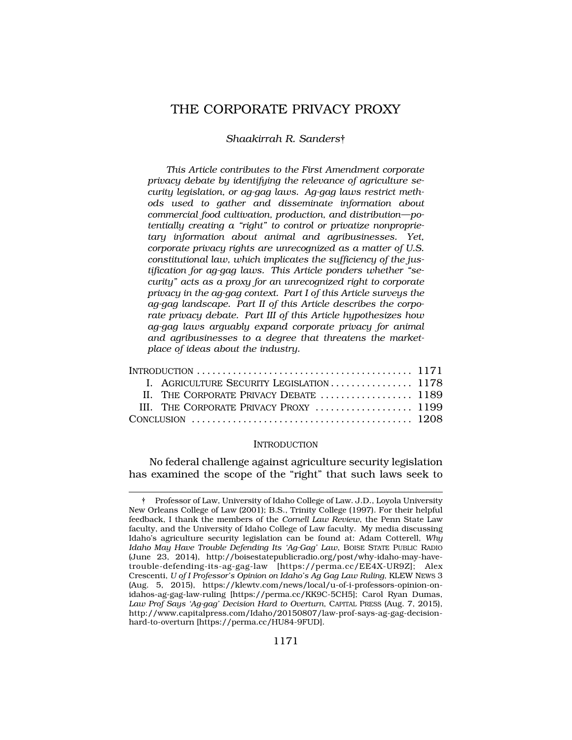# THE CORPORATE PRIVACY PROXY

## *Shaakirrah R. Sanders*†

*This Article contributes to the First Amendment corporate privacy debate by identifying the relevance of agriculture security legislation, or ag-gag laws. Ag-gag laws restrict methods used to gather and disseminate information about commercial food cultivation, production, and distribution—potentially creating a "right" to control or privatize nonproprietary information about animal and agribusinesses. Yet, corporate privacy rights are unrecognized as a matter of U.S. constitutional law, which implicates the sufficiency of the justification for ag-gag laws. This Article ponders whether "security" acts as a proxy for an unrecognized right to corporate privacy in the ag-gag context. Part I of this Article surveys the ag-gag landscape. Part II of this Article describes the corporate privacy debate. Part III of this Article hypothesizes how ag-gag laws arguably expand corporate privacy for animal and agribusinesses to a degree that threatens the marketplace of ideas about the industry.* 

|                                                                                                       | I. AGRICULTURE SECURITY LEGISLATION 1178 |  |
|-------------------------------------------------------------------------------------------------------|------------------------------------------|--|
|                                                                                                       |                                          |  |
|                                                                                                       | III. THE CORPORATE PRIVACY PROXY  1199   |  |
| CONCLUSION $\ldots \ldots \ldots \ldots \ldots \ldots \ldots \ldots \ldots \ldots \ldots \ldots 1208$ |                                          |  |

#### **INTRODUCTION**

No federal challenge against agriculture security legislation has examined the scope of the "right" that such laws seek to

<sup>†</sup> Professor of Law, University of Idaho College of Law. J.D., Loyola University New Orleans College of Law (2001); B.S., Trinity College (1997). For their helpful feedback, I thank the members of the *Cornell Law Review*, the Penn State Law faculty, and the University of Idaho College of Law faculty. My media discussing Idaho's agriculture security legislation can be found at: Adam Cotterell, *Why Idaho May Have Trouble Defending Its 'Ag-Gag' Law*, BOISE STATE PUBLIC RADIO (June 23, 2014), <http://boisestatepublicradio.org/post/why-idaho-may-have>trouble-defending-its-ag-gag-law [<https://perma.cc/EE4X-UR9Z>]; Alex Crescenti, *U of I Professor's Opinion on Idaho's Ag Gag Law Ruling*, KLEW NEWS 3 (Aug. 5, 2015), <https://klewtv.com/news/local/u-of-i-professors-opinion-on>idahos-ag-gag-law-ruling [\[https://perma.cc/KK9C-5CH5\]](https://perma.cc/KK9C-5CH5); Carol Ryan Dumas, *Law Prof Says 'Ag-gag' Decision Hard to Overturn*, CAPITAL PRESS (Aug. 7, 2015), <http://www.capitalpress.com/Idaho/20150807/law-prof-says-ag-gag-decision>hard-to-overturn [\[https://perma.cc/HU84-9FUD](https://perma.cc/HU84-9FUD)].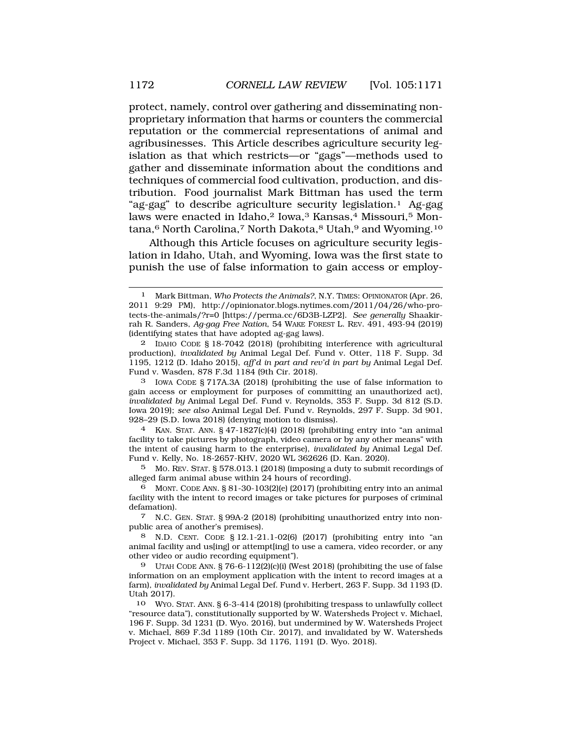protect, namely, control over gathering and disseminating nonproprietary information that harms or counters the commercial reputation or the commercial representations of animal and agribusinesses. This Article describes agriculture security legislation as that which restricts—or "gags"—methods used to gather and disseminate information about the conditions and techniques of commercial food cultivation, production, and distribution. Food journalist Mark Bittman has used the term "ag-gag" to describe agriculture security legislation.1 Ag-gag laws were enacted in Idaho,<sup>2</sup> Iowa,<sup>3</sup> Kansas,<sup>4</sup> Missouri,<sup>5</sup> Montana,<sup>6</sup> North Carolina,<sup>7</sup> North Dakota,<sup>8</sup> Utah,<sup>9</sup> and Wyoming.<sup>10</sup>

Although this Article focuses on agriculture security legislation in Idaho, Utah, and Wyoming, Iowa was the first state to punish the use of false information to gain access or employ-

2 IDAHO CODE § 18-7042 (2018) (prohibiting interference with agricultural production), *invalidated by* Animal Legal Def. Fund v. Otter, 118 F. Supp. 3d 1195, 1212 (D. Idaho 2015), *aff'd in part and rev'd in part by* Animal Legal Def. Fund v. Wasden, 878 F.3d 1184 (9th Cir. 2018).

3 IOWA CODE § 717A.3A (2018) (prohibiting the use of false information to gain access or employment for purposes of committing an unauthorized act), *invalidated by* Animal Legal Def. Fund v. Reynolds, 353 F. Supp. 3d 812 (S.D. Iowa 2019); *see also* Animal Legal Def. Fund v. Reynolds, 297 F. Supp. 3d 901, 928–29 (S.D. Iowa 2018) (denying motion to dismiss).

4 KAN. STAT. ANN. § 47-1827(c)(4) (2018) (prohibiting entry into "an animal facility to take pictures by photograph, video camera or by any other means" with the intent of causing harm to the enterprise), *invalidated by* Animal Legal Def. Fund v. Kelly, No. 18-2657-KHV, 2020 WL 362626 (D. Kan. 2020).

5 MO. REV. STAT. § 578.013.1 (2018) (imposing a duty to submit recordings of alleged farm animal abuse within 24 hours of recording).

6 MONT. CODE ANN. § 81-30-103(2)(e) (2017) (prohibiting entry into an animal facility with the intent to record images or take pictures for purposes of criminal defamation).

7 N.C. GEN. STAT. § 99A-2 (2018) (prohibiting unauthorized entry into nonpublic area of another's premises).

8 N.D. CENT. CODE § 12.1-21.1-02(6) (2017) (prohibiting entry into "an animal facility and us[ing] or attempt[ing] to use a camera, video recorder, or any other video or audio recording equipment").

9 UTAH CODE ANN.  $\S 76-6-112(2)(c)(i)$  (West 2018) (prohibiting the use of false information on an employment application with the intent to record images at a farm), *invalidated by* Animal Legal Def. Fund v. Herbert, 263 F. Supp. 3d 1193 (D. Utah 2017).

10 WYO. STAT. ANN. § 6-3-414 (2018) (prohibiting trespass to unlawfully collect "resource data"), constitutionally supported by W. Watersheds Project v. Michael, 196 F. Supp. 3d 1231 (D. Wyo. 2016), but undermined by W. Watersheds Project v. Michael, 869 F.3d 1189 (10th Cir. 2017), and invalidated by W. Watersheds Project v. Michael, 353 F. Supp. 3d 1176, 1191 (D. Wyo. 2018).

<sup>1</sup> Mark Bittman, *Who Protects the Animals?*, N.Y. TIMES: OPINIONATOR (Apr. 26, 2011 9:29 PM), <http://opinionator.blogs.nytimes.com/2011/04/26/who-pro>tects-the-animals/?r=0 [<https://perma.cc/6D3B-LZP2>]. *See generally* Shaakirrah R. Sanders, *Ag-gag Free Nation*, 54 WAKE FOREST L. REV. 491, 493-94 (2019) (identifying states that have adopted ag-gag laws).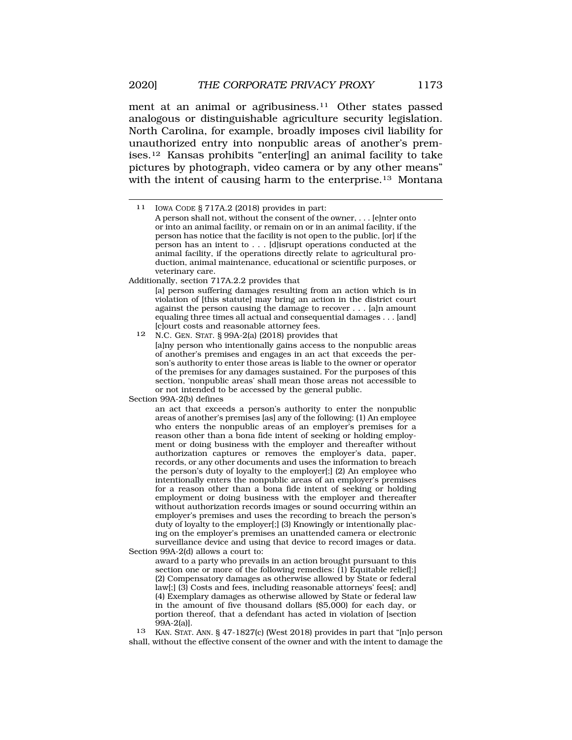2020] *THE CORPORATE PRIVACY PROXY* 1173

ment at an animal or agribusiness.<sup>11</sup> Other states passed analogous or distinguishable agriculture security legislation. North Carolina, for example, broadly imposes civil liability for unauthorized entry into nonpublic areas of another's premises.12 Kansas prohibits "enter[ing] an animal facility to take pictures by photograph, video camera or by any other means" with the intent of causing harm to the enterprise.<sup>13</sup> Montana

Additionally, section 717A.2.2 provides that

[a] person suffering damages resulting from an action which is in violation of [this statute] may bring an action in the district court against the person causing the damage to recover . . . [a]n amount equaling three times all actual and consequential damages . . . [and] [c]ourt costs and reasonable attorney fees.

12 N.C. GEN. STAT. § 99A-2(a) (2018) provides that [a]ny person who intentionally gains access to the nonpublic areas of another's premises and engages in an act that exceeds the person's authority to enter those areas is liable to the owner or operator of the premises for any damages sustained. For the purposes of this section, 'nonpublic areas' shall mean those areas not accessible to or not intended to be accessed by the general public.

Section 99A-2(b) defines

an act that exceeds a person's authority to enter the nonpublic areas of another's premises [as] any of the following: (1) An employee who enters the nonpublic areas of an employer's premises for a reason other than a bona fide intent of seeking or holding employment or doing business with the employer and thereafter without authorization captures or removes the employer's data, paper, records, or any other documents and uses the information to breach the person's duty of loyalty to the employer[;] (2) An employee who intentionally enters the nonpublic areas of an employer's premises for a reason other than a bona fide intent of seeking or holding employment or doing business with the employer and thereafter without authorization records images or sound occurring within an employer's premises and uses the recording to breach the person's duty of loyalty to the employer[;] (3) Knowingly or intentionally placing on the employer's premises an unattended camera or electronic surveillance device and using that device to record images or data.

Section 99A-2(d) allows a court to:

award to a party who prevails in an action brought pursuant to this section one or more of the following remedies: (1) Equitable relief[; (2) Compensatory damages as otherwise allowed by State or federal law[;] (3) Costs and fees, including reasonable attorneys' fees[; and] (4) Exemplary damages as otherwise allowed by State or federal law in the amount of five thousand dollars (\$5,000) for each day, or portion thereof, that a defendant has acted in violation of [section 99A-2(a)].

13 KAN. STAT. ANN. § 47-1827(c) (West 2018) provides in part that "[n]o person shall, without the effective consent of the owner and with the intent to damage the

<sup>11</sup> IOWA CODE § 717A.2 (2018) provides in part: A person shall not, without the consent of the owner, . . . [e]nter onto or into an animal facility, or remain on or in an animal facility, if the person has notice that the facility is not open to the public, [or] if the person has an intent to . . . [d]isrupt operations conducted at the animal facility, if the operations directly relate to agricultural production, animal maintenance, educational or scientific purposes, or veterinary care.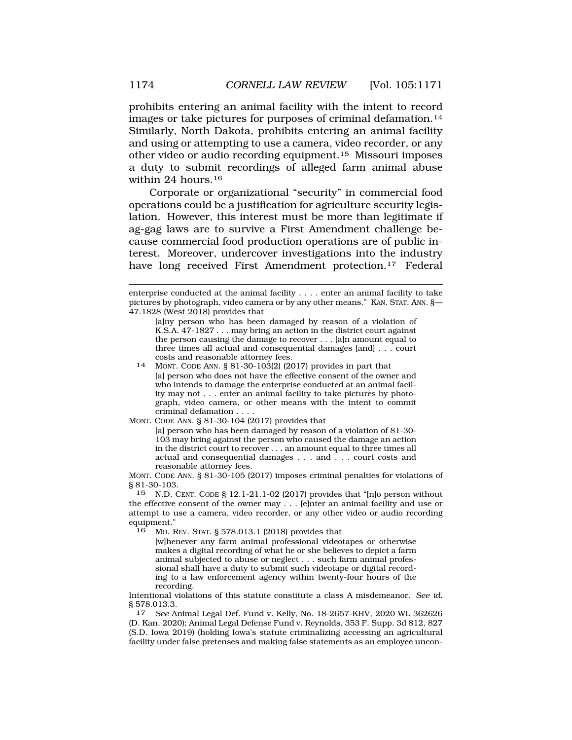prohibits entering an animal facility with the intent to record images or take pictures for purposes of criminal [defamation.14](https://defamation.14)  Similarly, North Dakota, prohibits entering an animal facility and using or attempting to use a camera, video recorder, or any other video or audio recording [equipment.15](https://equipment.15) Missouri imposes a duty to submit recordings of alleged farm animal abuse within 24 hours.<sup>16</sup>

Corporate or organizational "security" in commercial food operations could be a justification for agriculture security legislation. However, this interest must be more than legitimate if ag-gag laws are to survive a First Amendment challenge because commercial food production operations are of public interest. Moreover, undercover investigations into the industry have long received First Amendment protection.<sup>17</sup> Federal

MONT. CODE ANN. § 81-30-104 (2017) provides that

[a] person who has been damaged by reason of a violation of 81-30- 103 may bring against the person who caused the damage an action in the district court to recover . . . an amount equal to three times all actual and consequential damages . . . and . . . court costs and reasonable attorney fees.

MONT. CODE ANN. § 81-30-105 (2017) imposes criminal penalties for violations of § 81-30-103.

15 N.D. CENT. CODE § 12.1-21.1-02 (2017) provides that "[n]o person without the effective consent of the owner may . . . [e]nter an animal facility and use or attempt to use a camera, video recorder, or any other video or audio recording equipment."<br>16 Mo F

16 MO. REV. STAT. § 578.013.1 (2018) provides that

[w]henever any farm animal professional videotapes or otherwise makes a digital recording of what he or she believes to depict a farm animal subjected to abuse or neglect . . . such farm animal professional shall have a duty to submit such videotape or digital recording to a law enforcement agency within twenty-four hours of the recording.

Intentional violations of this statute constitute a class A misdemeanor. *See id.*   $\S 578.013.3.$ <br>17 See A

17 *See* Animal Legal Def. Fund v. Kelly, No. 18-2657-KHV, 2020 WL 362626 (D. Kan. 2020); Animal Legal Defense Fund v. Reynolds, 353 F. Supp. 3d 812, 827 (S.D. Iowa 2019) (holding Iowa's statute criminalizing accessing an agricultural facility under false pretenses and making false statements as an employee uncon-

enterprise conducted at the animal facility . . . . enter an animal facility to take pictures by photograph, video camera or by any other means." KAN. STAT. ANN. §— 47.1828 (West 2018) provides that

<sup>[</sup>a]ny person who has been damaged by reason of a violation of K.S.A. 47-1827 . . . may bring an action in the district court against the person causing the damage to recover . . . [a]n amount equal to three times all actual and consequential damages  $[and] \dots$  court costs and reasonable attorney fees.

<sup>14</sup> MONT. CODE ANN. § 81-30-103(2) (2017) provides in part that [a] person who does not have the effective consent of the owner and who intends to damage the enterprise conducted at an animal facility may not . . . enter an animal facility to take pictures by photograph, video camera, or other means with the intent to commit criminal defamation . . . .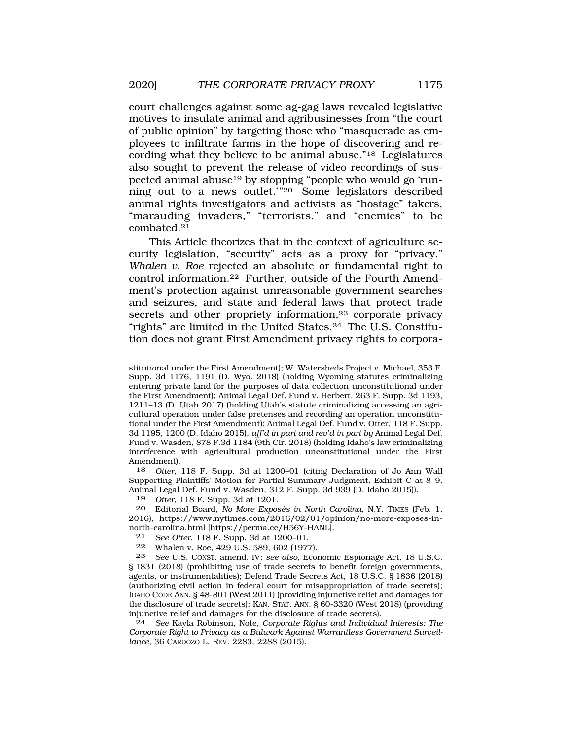court challenges against some ag-gag laws revealed legislative motives to insulate animal and agribusinesses from "the court of public opinion" by targeting those who "masquerade as employees to infiltrate farms in the hope of discovering and recording what they believe to be animal abuse."18 Legislatures also sought to prevent the release of video recordings of suspected animal abuse19 by stopping "people who would go 'running out to a news outlet.'"20 Some legislators described animal rights investigators and activists as "hostage" takers, "marauding invaders," "terrorists," and "enemies" to be [combated.21](https://combated.21) 

This Article theorizes that in the context of agriculture security legislation, "security" acts as a proxy for "privacy." *Whalen v. Roe* rejected an absolute or fundamental right to control [information.22](https://information.22) Further, outside of the Fourth Amendment's protection against unreasonable government searches and seizures, and state and federal laws that protect trade secrets and other propriety information,<sup>23</sup> corporate privacy "rights" are limited in the United [States.24](https://States.24) The U.S. Constitution does not grant First Amendment privacy rights to corpora-

stitutional under the First Amendment); W. Watersheds Project v. Michael, 353 F. Supp. 3d 1176, 1191 (D. Wyo. 2018) (holding Wyoming statutes criminalizing entering private land for the purposes of data collection unconstitutional under the First Amendment); Animal Legal Def. Fund v. Herbert, 263 F. Supp. 3d 1193, 1211–13 (D. Utah 2017) (holding Utah's statute criminalizing accessing an agricultural operation under false pretenses and recording an operation unconstitutional under the First Amendment); Animal Legal Def. Fund v. Otter, 118 F. Supp. 3d 1195, 1200 (D. Idaho 2015), *aff'd in part and rev'd in part by* Animal Legal Def. Fund v. Wasden, 878 F.3d 1184 (9th Cir. 2018) (holding Idaho's law criminalizing interference with agricultural production unconstitutional under the First Amendment).

18 *Otter*, 118 F. Supp. 3d at 1200–01 (citing Declaration of Jo Ann Wall Supporting Plaintiffs' Motion for Partial Summary Judgment, Exhibit C at 8–9, Animal Legal Def. Fund v. Wasden, 312 F. Supp. 3d 939 (D. Idaho 2015)).

19 *Otter*, 118 F. Supp. 3d at 1201.

20 Editorial Board, *No More Exposés in North Carolina*, N.Y. TIMES (Feb. 1, 2016), <https://www.nytimes.com/2016/02/01/opinion/no-more-exposes-in>north-carolina.html [\[https://perma.cc/H56Y-HANL\]](https://perma.cc/H56Y-HANL).

21 *See Otter*, 118 F. Supp. 3d at 1200–01*.* 

22 Whalen v. Roe,  $429$  U.S. 589, 602 (1977).<br>23 See U.S. CONST amend IV: see also Econ

23 *See* U.S. CONST. amend. IV; *see also*, Economic Espionage Act, 18 U.S.C. § 1831 (2018) (prohibiting use of trade secrets to benefit foreign governments, agents, or instrumentalities); Defend Trade Secrets Act, 18 U.S.C. § 1836 (2018) (authorizing civil action in federal court for misappropriation of trade secrets); IDAHO CODE ANN. § 48-801 (West 2011) (providing injunctive relief and damages for the disclosure of trade secrets); KAN. STAT. ANN. § 60-3320 (West 2018) (providing injunctive relief and damages for the disclosure of trade secrets).

24 *See* Kayla Robinson, Note, *Corporate Rights and Individual Interests: The Corporate Right to Privacy as a Bulwark Against Warrantless Government Surveillance*, 36 CARDOZO L. REV. 2283, 2288 (2015).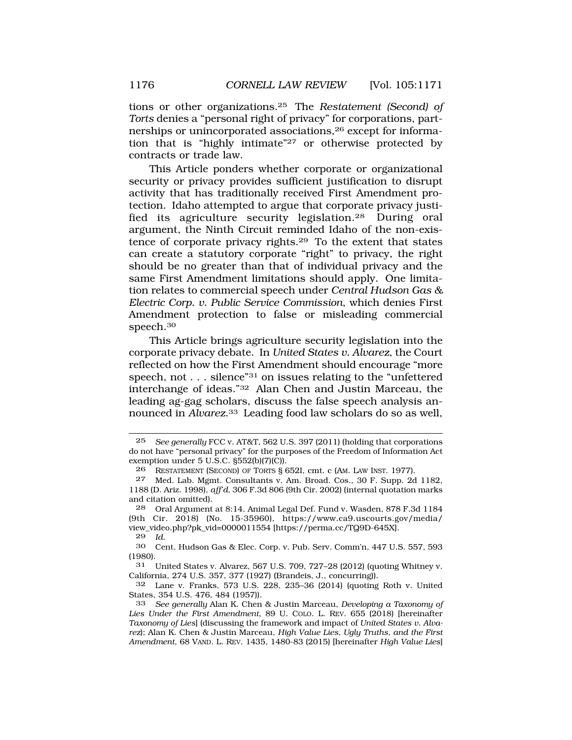tions or other [organizations.25](https://organizations.25) The *Restatement (Second) of Torts* denies a "personal right of privacy" for corporations, partnerships or unincorporated associations,26 except for information that is "highly intimate"27 or otherwise protected by contracts or trade law.

This Article ponders whether corporate or organizational security or privacy provides sufficient justification to disrupt activity that has traditionally received First Amendment protection. Idaho attempted to argue that corporate privacy justified its agriculture security [legislation.28](https://legislation.28) During oral argument, the Ninth Circuit reminded Idaho of the non-existence of corporate privacy [rights.29](https://rights.29) To the extent that states can create a statutory corporate "right" to privacy, the right should be no greater than that of individual privacy and the same First Amendment limitations should apply. One limitation relates to commercial speech under *Central Hudson Gas & Electric Corp. v. Public Service Commission*, which denies First Amendment protection to false or misleading commercial [speech.30](https://speech.30)

This Article brings agriculture security legislation into the corporate privacy debate. In *United States v. Alvarez*, the Court reflected on how the First Amendment should encourage "more speech, not . . . silence"31 on issues relating to the "unfettered interchange of ideas."32 Alan Chen and Justin Marceau, the leading ag-gag scholars, discuss the false speech analysis announced in *[Alvarez](https://Alvarez.33)*.33 Leading food law scholars do so as well,

29 *Id.* 

30 Cent. Hudson Gas & Elec. Corp. v. Pub. Serv. Comm'n, 447 U.S. 557, 593 (1980).

31 United States v. Alvarez, 567 U.S. 709, 727–28 (2012) (quoting Whitney v. California, 274 U.S. 357, 377 (1927) (Brandeis, J., concurring)).

32 Lane v. Franks, 573 U.S. 228, 235–36 (2014) (quoting Roth v. United States, 354 U.S. 476, 484 (1957)).

<sup>25</sup> *See generally* FCC v. AT&T, 562 U.S. 397 (2011) (holding that corporations do not have "personal privacy" for the purposes of the Freedom of Information Act exemption under 5 U.S.C. §552(b)(7)(C)).

<sup>26</sup> RESTATEMENT (SECOND) OF TORTS § 652I, cmt. c (AM. LAW INST. 1977).

<sup>27</sup> Med. Lab. Mgmt. Consultants v. Am. Broad. Cos., 30 F. Supp. 2d 1182, 1188 (D. Ariz. 1998), *aff'd*, 306 F.3d 806 (9th Cir. 2002) (internal quotation marks and citation omitted).

<sup>28</sup> Oral Argument at 8:14, Animal Legal Def. Fund v. Wasden, 878 F.3d 1184 (9th Cir. 2018) (No. 15-35960), [https://www.ca9.uscourts.gov/media/](https://www.ca9.uscourts.gov/media) view\_video.php?pk\_vid=0000011554 [\[https://perma.cc/TQ9D-645X\]](https://perma.cc/TQ9D-645X).

<sup>33</sup> *See generally* Alan K. Chen & Justin Marceau*, Developing a Taxonomy of Lies Under the First Amendment*, 89 U. COLO. L. REV. 655 (2018) [hereinafter *Taxonomy of Lies*] (discussing the framework and impact of *United States v. Alvarez*); Alan K. Chen & Justin Marceau, *High Value Lies, Ugly Truths, and the First Amendment*, 68 VAND. L. REV. 1435, 1480-83 (2015) [hereinafter *High Value Lies*]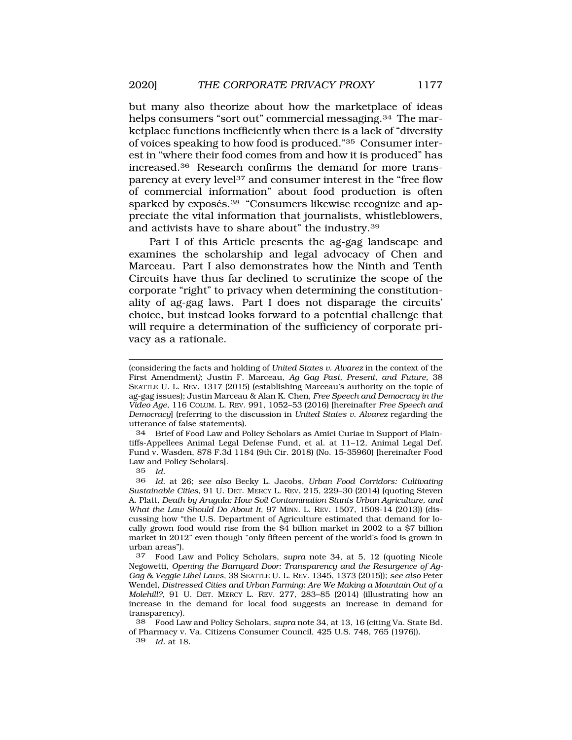but many also theorize about how the marketplace of ideas helps consumers "sort out" commercial messaging.<sup>34</sup> The marketplace functions inefficiently when there is a lack of "diversity of voices speaking to how food is produced."35 Consumer interest in "where their food comes from and how it is produced" has [increased.36](https://increased.36) Research confirms the demand for more transparency at every level37 and consumer interest in the "free flow of commercial information" about food production is often sparked by exposés.<sup>38</sup> "Consumers likewise recognize and appreciate the vital information that journalists, whistleblowers, and activists have to share about" the [industry.39](https://industry.39) 

Part I of this Article presents the ag-gag landscape and examines the scholarship and legal advocacy of Chen and Marceau. Part I also demonstrates how the Ninth and Tenth Circuits have thus far declined to scrutinize the scope of the corporate "right" to privacy when determining the constitutionality of ag-gag laws. Part I does not disparage the circuits' choice, but instead looks forward to a potential challenge that will require a determination of the sufficiency of corporate privacy as a rationale.

34 Brief of Food Law and Policy Scholars as Amici Curiae in Support of Plaintiffs-Appellees Animal Legal Defense Fund, et al. at 11–12, Animal Legal Def. Fund v. Wasden, 878 F.3d 1184 (9th Cir. 2018) (No. 15-35960) [hereinafter Food Law and Policy Scholars].

35 *Id.* 

36 *Id.* at 26; *see also* Becky L. Jacobs, *Urban Food Corridors: Cultivating Sustainable Cities*, 91 U. DET. MERCY L. REV. 215, 229–30 (2014) (quoting Steven A. Platt, *Death by Arugula: How Soil Contamination Stunts Urban Agriculture, and What the Law Should Do About It*, 97 MINN. L. REV. 1507, 1508-14 (2013)) (discussing how "the U.S. Department of Agriculture estimated that demand for locally grown food would rise from the \$4 billion market in 2002 to a \$7 billion market in 2012" even though "only fifteen percent of the world's food is grown in urban areas").

37 Food Law and Policy Scholars, *supra* note 34, at 5, 12 (quoting Nicole Negowetti, *Opening the Barnyard Door: Transparency and the Resurgence of Ag-Gag & Veggie Libel Laws*, 38 SEATTLE U. L. REV. 1345, 1373 (2015)); *see also* Peter Wendel, *Distressed Cities and Urban Farming: Are We Making a Mountain Out of a Molehill?*, 91 U. DET. MERCY L. REV. 277, 283–85 (2014) (illustrating how an increase in the demand for local food suggests an increase in demand for transparency).

38 Food Law and Policy Scholars, *supra* note 34, at 13, 16 (citing Va. State Bd. of Pharmacy v. Va. Citizens Consumer Council, 425 U.S. 748, 765 (1976)).

39 *Id.* at 18.

<sup>(</sup>considering the facts and holding of *United States v. Alvarez* in the context of the First Amendment*)*; Justin F. Marceau, *Ag Gag Past, Present, and Future*, 38 SEATTLE U. L. REV. 1317 (2015) (establishing Marceau's authority on the topic of ag-gag issues); Justin Marceau & Alan K. Chen, *Free Speech and Democracy in the Video Age*, 116 COLUM. L. REV. 991, 1052–53 (2016) [hereinafter *Free Speech and Democracy*] (referring to the discussion in *United States v. Alvarez* regarding the utterance of false statements).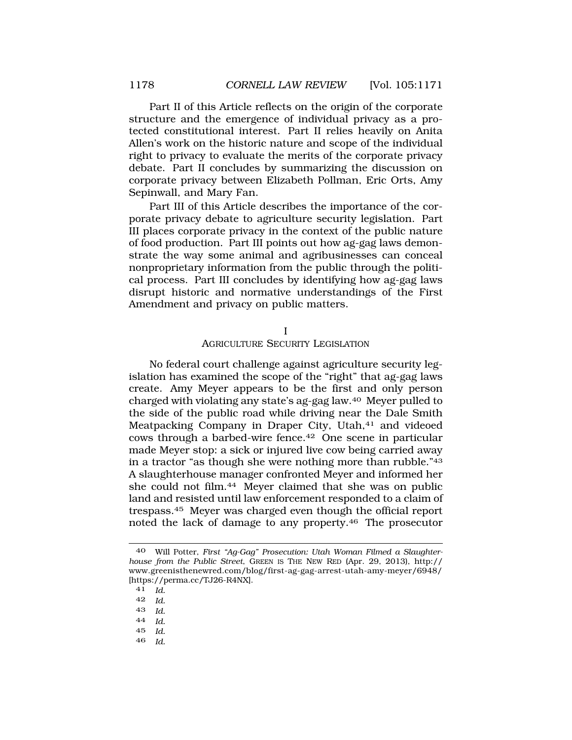Part II of this Article reflects on the origin of the corporate structure and the emergence of individual privacy as a protected constitutional interest. Part II relies heavily on Anita Allen's work on the historic nature and scope of the individual right to privacy to evaluate the merits of the corporate privacy debate. Part II concludes by summarizing the discussion on corporate privacy between Elizabeth Pollman, Eric Orts, Amy Sepinwall, and Mary Fan.

Part III of this Article describes the importance of the corporate privacy debate to agriculture security legislation. Part III places corporate privacy in the context of the public nature of food production. Part III points out how ag-gag laws demonstrate the way some animal and agribusinesses can conceal nonproprietary information from the public through the political process. Part III concludes by identifying how ag-gag laws disrupt historic and normative understandings of the First Amendment and privacy on public matters.

I

AGRICULTURE SECURITY LEGISLATION

No federal court challenge against agriculture security legislation has examined the scope of the "right" that ag-gag laws create. Amy Meyer appears to be the first and only person charged with violating any state's ag-gag law.40 Meyer pulled to the side of the public road while driving near the Dale Smith Meatpacking Company in Draper City, Utah,<sup>41</sup> and videoed cows through a barbed-wire [fence.42](https://fence.42) One scene in particular made Meyer stop: a sick or injured live cow being carried away in a tractor "as though she were nothing more than rubble."43 A slaughterhouse manager confronted Meyer and informed her she could not film.<sup>44</sup> Meyer claimed that she was on public land and resisted until law enforcement responded to a claim of [trespass.45](https://trespass.45) Meyer was charged even though the official report noted the lack of damage to any [property.46](https://property.46) The prosecutor

- 42 *Id.*
- 43 *Id.*
- 44 *Id.*
- 45 *Id.*
- 46 *Id.*

<sup>40</sup> Will Potter, *First "Ag-Gag" Prosecution: Utah Woman Filmed a Slaughterhouse from the Public Street*, GREEN IS THE NEW RED (Apr. 29, 2013), http:// <www.greenisthenewred.com/blog/first-ag-gag-arrest-utah-amy-meyer/6948>/ [<https://perma.cc/TJ26-R4NX>].

<sup>41</sup> *Id.*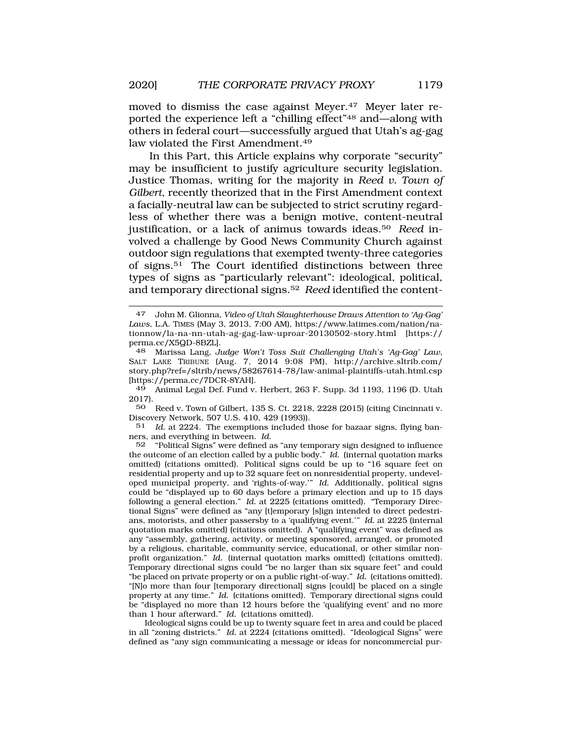moved to dismiss the case against Meyer.<sup>47</sup> Meyer later reported the experience left a "chilling effect"48 and—along with others in federal court—successfully argued that Utah's ag-gag law violated the First [Amendment.49](https://Amendment.49)

In this Part, this Article explains why corporate "security" may be insufficient to justify agriculture security legislation. Justice Thomas, writing for the majority in *Reed v. Town of Gilbert*, recently theorized that in the First Amendment context a facially-neutral law can be subjected to strict scrutiny regardless of whether there was a benign motive, content-neutral justification, or a lack of animus towards [ideas.50](https://ideas.50) *Reed* involved a challenge by Good News Community Church against outdoor sign regulations that exempted twenty-three categories of [signs.51](https://signs.51) The Court identified distinctions between three types of signs as "particularly relevant": ideological, political, and temporary directional [signs.52](https://signs.52) *Reed* identified the content-

48 Marissa Lang, *Judge Won't Toss Suit Challenging Utah's 'Ag-Gag' Law*, SALT LAKE TRIBUNE (Aug. 7, 2014 9:08 PM), [http://archive.sltrib.com/](http://archive.sltrib.com) story.php?ref=/sltrib/news/58267614-78/law-animal-plaintiffs-utah.html.csp [<https://perma.cc/7DCR-8YAH>].

49 Animal Legal Def. Fund v. Herbert, 263 F. Supp. 3d 1193, 1196 (D. Utah 2017).

50 Reed v. Town of Gilbert, 135 S. Ct. 2218, 2228 (2015) (citing Cincinnati v. Discovery Network, 507 U.S. 410, 429 (1993)).

51 *Id.* at 2224. The exemptions included those for bazaar signs, flying banners, and everything in between. *Id.* 

52 "Political Signs" were defined as "any temporary sign designed to influence the outcome of an election called by a public body." *Id.* (internal quotation marks omitted) (citations omitted). Political signs could be up to "16 square feet on residential property and up to 32 square feet on nonresidential property, undeveloped municipal property, and 'rights-of-way.'" *Id.* Additionally, political signs could be "displayed up to 60 days before a primary election and up to 15 days following a general election." *Id.* at 2225 (citations omitted). "Temporary Directional Signs" were defined as "any [t]emporary [s]ign intended to direct pedestrians, motorists, and other passersby to a 'qualifying event.'" *Id.* at 2225 (internal quotation marks omitted) (citations omitted). A "qualifying event" was defined as any "assembly, gathering, activity, or meeting sponsored, arranged, or promoted by a religious, charitable, community service, educational, or other similar nonprofit organization." *Id.* (internal quotation marks omitted) (citations omitted). Temporary directional signs could "be no larger than six square feet" and could "be placed on private property or on a public right-of-way." *Id.* (citations omitted). "[N]o more than four [temporary directional] signs [could] be placed on a single property at any time." *Id.* (citations omitted). Temporary directional signs could be "displayed no more than 12 hours before the 'qualifying event' and no more than 1 hour afterward." *Id.* (citations omitted).

Ideological signs could be up to twenty square feet in area and could be placed in all "zoning districts." *Id.* at 2224 (citations omitted). "Ideological Signs" were defined as "any sign communicating a message or ideas for noncommercial pur-

<sup>47</sup> John M. Glionna, *Video of Utah Slaughterhouse Draws Attention to 'Ag-Gag' Laws*, L.A. TIMES (May 3, 2013, 7:00 AM), <https://www.latimes.com/nation/na>tionnow/la-na-nn-utah-ag-gag-law-uproar-20130502-story.html [https:// perma.cc/X5QD-8BZL].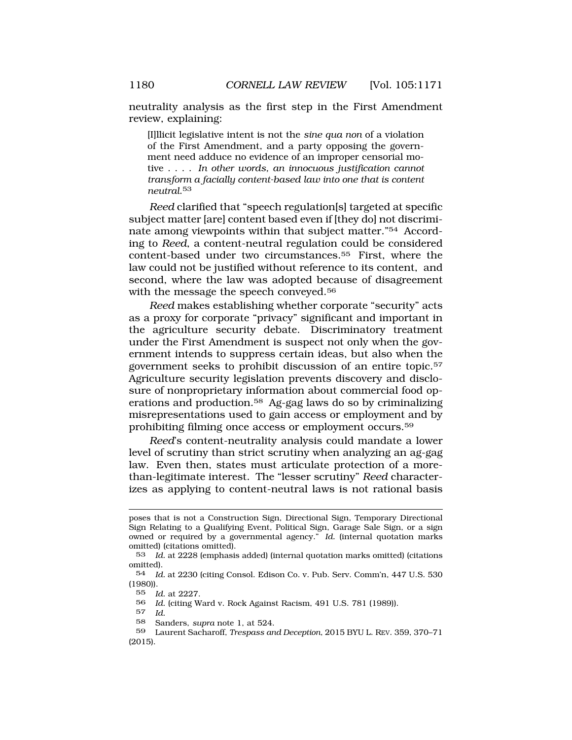neutrality analysis as the first step in the First Amendment review, explaining:

[I]llicit legislative intent is not the *sine qua non* of a violation of the First Amendment, and a party opposing the government need adduce no evidence of an improper censorial motive . . . . *In other words, an innocuous justification cannot transform a facially content-based law into one that is content [neutral](https://neutral.53)*.53

*Reed* clarified that "speech regulation[s] targeted at specific subject matter [are] content based even if [they do] not discriminate among viewpoints within that subject matter."54 According to *Reed*, a content-neutral regulation could be considered content-based under two [circumstances.55](https://circumstances.55) First, where the law could not be justified without reference to its content, and second, where the law was adopted because of disagreement with the message the speech conveyed.<sup>56</sup>

*Reed* makes establishing whether corporate "security" acts as a proxy for corporate "privacy" significant and important in the agriculture security debate. Discriminatory treatment under the First Amendment is suspect not only when the government intends to suppress certain ideas, but also when the government seeks to prohibit discussion of an entire [topic.57](https://topic.57)  Agriculture security legislation prevents discovery and disclosure of nonproprietary information about commercial food operations and [production.58](https://production.58) Ag-gag laws do so by criminalizing misrepresentations used to gain access or employment and by prohibiting filming once access or employment [occurs.59](https://occurs.59) 

*Reed*'s content-neutrality analysis could mandate a lower level of scrutiny than strict scrutiny when analyzing an ag-gag law. Even then, states must articulate protection of a morethan-legitimate interest. The "lesser scrutiny" *Reed* characterizes as applying to content-neutral laws is not rational basis

58 Sanders, *supra* note 1, at 524.

poses that is not a Construction Sign, Directional Sign, Temporary Directional Sign Relating to a Qualifying Event, Political Sign, Garage Sale Sign, or a sign owned or required by a governmental agency." *Id.* (internal quotation marks omitted) (citations omitted).

<sup>53</sup> *Id.* at 2228 (emphasis added) (internal quotation marks omitted) (citations omitted).

<sup>54</sup> *Id.* at 2230 (citing Consol. Edison Co. v. Pub. Serv. Comm'n, 447 U.S. 530 (1980)).

<sup>55</sup> *Id.* at 2227.

<sup>56</sup> *Id.* (citing Ward v. Rock Against Racism, 491 U.S. 781 (1989)).

<sup>57</sup> *Id.* 

<sup>59</sup> Laurent Sacharoff, *Trespass and Deception*, 2015 BYU L. REV. 359, 370–71 (2015).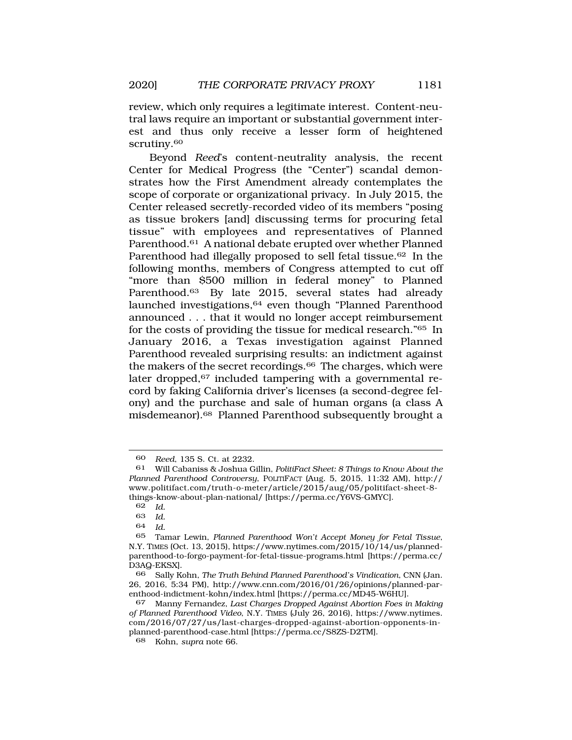review, which only requires a legitimate interest. Content-neutral laws require an important or substantial government interest and thus only receive a lesser form of heightened scrutiny.<sup>60</sup>

Beyond *Reed*'s content-neutrality analysis, the recent Center for Medical Progress (the "Center") scandal demonstrates how the First Amendment already contemplates the scope of corporate or organizational privacy. In July 2015, the Center released secretly-recorded video of its members "posing as tissue brokers [and] discussing terms for procuring fetal tissue" with employees and representatives of Planned [Parenthood.61](https://Parenthood.61) A national debate erupted over whether Planned Parenthood had illegally proposed to sell fetal tissue.<sup>62</sup> In the following months, members of Congress attempted to cut off "more than \$500 million in federal money" to Planned [Parenthood.63](https://Parenthood.63) By late 2015, several states had already launched investigations,<sup>64</sup> even though "Planned Parenthood announced . . . that it would no longer accept reimbursement for the costs of providing the tissue for medical research."65 In January 2016, a Texas investigation against Planned Parenthood revealed surprising results: an indictment against the makers of the secret recordings.<sup>66</sup> The charges, which were later dropped, $67$  included tampering with a governmental record by faking California driver's licenses (a second-degree felony) and the purchase and sale of human organs (a class A [misdemeanor\).68](https://misdemeanor).68) Planned Parenthood subsequently brought a

 $Id.$ 

<sup>60</sup> *Reed*, 135 S. Ct. at 2232.

<sup>61</sup> Will Cabaniss & Joshua Gillin, *PolitiFact Sheet: 8 Things to Know About the Planned Parenthood Controversy*, POLITIFACT (Aug. 5, 2015, 11:32 AM), http:// <www.politifact.com/truth-o-meter/article/2015/aug/05/politifact-sheet-8> things-know-about-plan-national/ [<https://perma.cc/Y6VS-GMYC>].<br>62 Id

<sup>62</sup> *Id.* 

<sup>64</sup> *Id.* 

<sup>65</sup> Tamar Lewin, *Planned Parenthood Won't Accept Money for Fetal Tissue*, N.Y. TIMES (Oct. 13, 2015),<https://www.nytimes.com/2015/10/14/us/planned>parenthood-to-forgo-payment-for-fetal-tissue-programs.html [\[https://perma.cc/](https://perma.cc) D3AQ-EKSX].

<sup>66</sup> Sally Kohn, *The Truth Behind Planned Parenthood's Vindication*, CNN (Jan. 26, 2016, 5:34 PM), <http://www.cnn.com/2016/01/26/opinions/planned-par>enthood-indictment-kohn/index.html [[https://perma.cc/MD45-W6HU\]](https://perma.cc/MD45-W6HU).

<sup>67</sup> Manny Fernandez, *Last Charges Dropped Against Abortion Foes in Making of Planned Parenthood Video*, N.Y. TIMES (July 26, 2016), <https://www.nytimes>. com/2016/07/27/us/last-charges-dropped-against-abortion-opponents-inplanned-parenthood-case.html [[https://perma.cc/S8ZS-D2TM\]](https://perma.cc/S8ZS-D2TM).

<sup>68</sup> Kohn, *supra* note 66.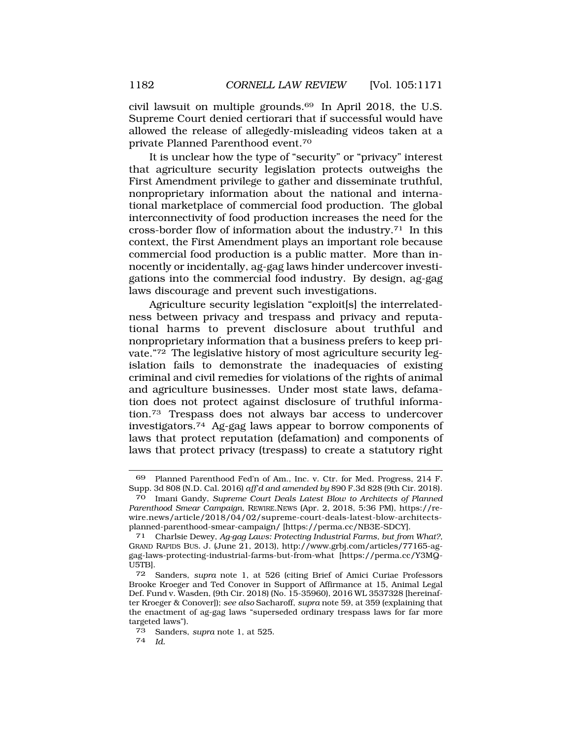civil lawsuit on multiple [grounds.69](https://grounds.69) In April 2018, the U.S. Supreme Court denied certiorari that if successful would have allowed the release of allegedly-misleading videos taken at a private Planned Parenthood [event.70](https://event.70) 

It is unclear how the type of "security" or "privacy" interest that agriculture security legislation protects outweighs the First Amendment privilege to gather and disseminate truthful, nonproprietary information about the national and international marketplace of commercial food production. The global interconnectivity of food production increases the need for the cross-border flow of information about the [industry.71](https://industry.71) In this context, the First Amendment plays an important role because commercial food production is a public matter. More than innocently or incidentally, ag-gag laws hinder undercover investigations into the commercial food industry. By design, ag-gag laws discourage and prevent such investigations.

Agriculture security legislation "exploit[s] the interrelatedness between privacy and trespass and privacy and reputational harms to prevent disclosure about truthful and nonproprietary information that a business prefers to keep private."72 The legislative history of most agriculture security legislation fails to demonstrate the inadequacies of existing criminal and civil remedies for violations of the rights of animal and agriculture businesses. Under most state laws, defamation does not protect against disclosure of truthful information.73 Trespass does not always bar access to undercover [investigators.74](https://investigators.74) Ag-gag laws appear to borrow components of laws that protect reputation (defamation) and components of laws that protect privacy (trespass) to create a statutory right

<sup>69</sup> Planned Parenthood Fed'n of Am., Inc. v. Ctr. for Med. Progress, 214 F. Supp. 3d 808 (N.D. Cal. 2016) *aff'd and amended by* 890 F.3d 828 (9th Cir. 2018).

<sup>70</sup> Imani Gandy, *Supreme Court Deals Latest Blow to Architects of Planned Parenthood Smear Campaign*, REWIRE.NEWS (Apr. 2, 2018, 5:36 PM), <https://re>wire.news/article/2018/04/02/supreme-court-deals-latest-blow-architectsplanned-parenthood-smear-campaign/ [[https://perma.cc/NB3E-SDCY\]](https://perma.cc/NB3E-SDCY).

<sup>71</sup> Charlsie Dewey, *Ag-gag Laws: Protecting Industrial Farms, but from What?,*  GRAND RAPIDS BUS. J. (June 21, 2013), <http://www.grbj.com/articles/77165-ag>gag-laws-protecting-industrial-farms-but-from-what [[https://perma.cc/Y3MQ-](https://perma.cc/Y3MQ)U5TB].

<sup>72</sup> Sanders, *supra* note 1, at 526 (citing Brief of Amici Curiae Professors Brooke Kroeger and Ted Conover in Support of Affirmance at 15, Animal Legal Def. Fund v. Wasden, (9th Cir. 2018) (No. 15-35960), 2016 WL 3537328 [hereinafter Kroeger & Conover]); *see also* Sacharoff, *supra* note 59, at 359 (explaining that the enactment of ag-gag laws "superseded ordinary trespass laws for far more targeted laws").

<sup>73</sup> Sanders, *supra* note 1, at 525.

<sup>74</sup> *Id.*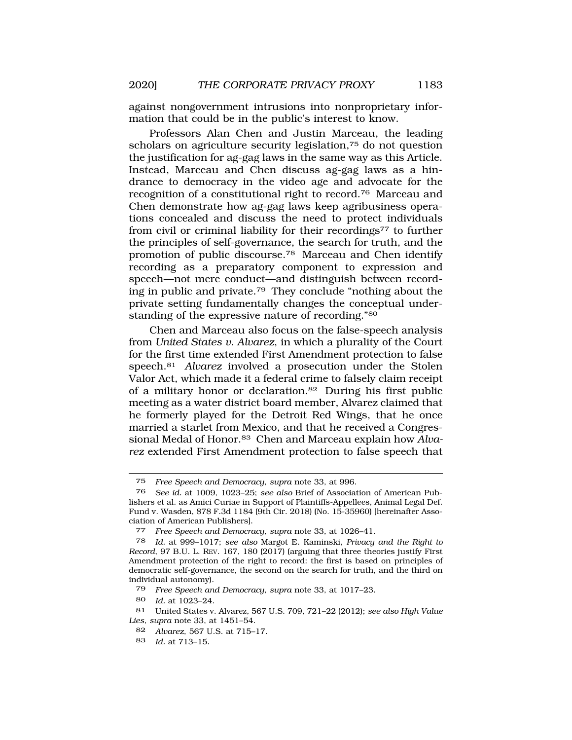against nongovernment intrusions into nonproprietary information that could be in the public's interest to know.

Professors Alan Chen and Justin Marceau, the leading scholars on agriculture security legislation,75 do not question the justification for ag-gag laws in the same way as this Article. Instead, Marceau and Chen discuss ag-gag laws as a hindrance to democracy in the video age and advocate for the recognition of a constitutional right to [record.76](https://record.76) Marceau and Chen demonstrate how ag-gag laws keep agribusiness operations concealed and discuss the need to protect individuals from civil or criminal liability for their recordings<sup>77</sup> to further the principles of self-governance, the search for truth, and the promotion of public [discourse.78](https://discourse.78) Marceau and Chen identify recording as a preparatory component to expression and speech—not mere conduct—and distinguish between recording in public and [private.79](https://private.79) They conclude "nothing about the private setting fundamentally changes the conceptual understanding of the expressive nature of recording."80

Chen and Marceau also focus on the false-speech analysis from *United States v. Alvarez*, in which a plurality of the Court for the first time extended First Amendment protection to false [speech.81](https://speech.81) *Alvarez* involved a prosecution under the Stolen Valor Act, which made it a federal crime to falsely claim receipt of a military honor or [declaration.82](https://declaration.82) During his first public meeting as a water district board member, Alvarez claimed that he formerly played for the Detroit Red Wings, that he once married a starlet from Mexico, and that he received a Congressional Medal of [Honor.83](https://Honor.83) Chen and Marceau explain how *Alvarez* extended First Amendment protection to false speech that

<sup>75</sup> *Free Speech and Democracy*, *supra* note 33, at 996.

<sup>76</sup> *See id.* at 1009, 1023–25; *see also* Brief of Association of American Publishers et al. as Amici Curiae in Support of Plaintiffs-Appellees, Animal Legal Def. Fund v. Wasden, 878 F.3d 1184 (9th Cir. 2018) (No. 15-35960) [hereinafter Association of American Publishers].

<sup>77</sup> *Free Speech and Democracy*, *supra* note 33, at 1026–41.

<sup>78</sup> *Id.* at 999–1017; *see also* Margot E. Kaminski, *Privacy and the Right to Record*, 97 B.U. L. REV. 167, 180 (2017) (arguing that three theories justify First Amendment protection of the right to record: the first is based on principles of democratic self-governance, the second on the search for truth, and the third on individual autonomy).

<sup>79</sup> *Free Speech and Democracy*, *supra* note 33, at 1017–23.

<sup>80</sup> *Id.* at 1023–24.

<sup>81</sup> United States v. Alvarez, 567 U.S. 709, 721–22 (2012); *see also High Value Lies, supra* note 33, at 1451–54.

<sup>82</sup> *Alvarez*, 567 U.S. at 715–17.

<sup>83</sup> *Id.* at 713–15.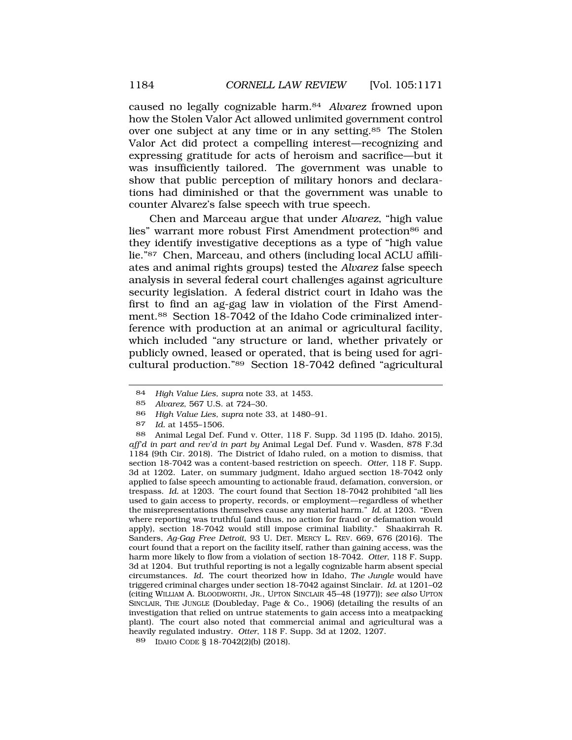caused no legally cognizable harm.84 *Alvarez* frowned upon how the Stolen Valor Act allowed unlimited government control over one subject at any time or in any [setting.85](https://setting.85) The Stolen Valor Act did protect a compelling interest—recognizing and expressing gratitude for acts of heroism and sacrifice—but it was insufficiently tailored. The government was unable to show that public perception of military honors and declarations had diminished or that the government was unable to counter Alvarez's false speech with true speech.

Chen and Marceau argue that under *Alvarez*, "high value lies" warrant more robust First Amendment protection<sup>86</sup> and they identify investigative deceptions as a type of "high value lie."87 Chen, Marceau, and others (including local ACLU affiliates and animal rights groups) tested the *Alvarez* false speech analysis in several federal court challenges against agriculture security legislation. A federal district court in Idaho was the first to find an ag-gag law in violation of the First Amendment.88 Section 18-7042 of the Idaho Code criminalized interference with production at an animal or agricultural facility, which included "any structure or land, whether privately or publicly owned, leased or operated, that is being used for agricultural production."89 Section 18-7042 defined "agricultural

89 IDAHO CODE § 18-7042(2)(b) (2018).

<sup>84</sup> *High Value Lies, supra* note 33, at 1453.

<sup>85</sup> *Alvarez*, 567 U.S. at 724–30.

<sup>86</sup> *High Value Lies, supra* note 33, at 1480–91.

<sup>87</sup> *Id.* at 1455–1506.

<sup>88</sup> Animal Legal Def. Fund v. Otter, 118 F. Supp. 3d 1195 (D. Idaho. 2015), *aff'd in part and rev'd in part by* Animal Legal Def. Fund v. Wasden, 878 F.3d 1184 (9th Cir. 2018). The District of Idaho ruled, on a motion to dismiss, that section 18-7042 was a content-based restriction on speech. *Otter*, 118 F. Supp. 3d at 1202. Later, on summary judgment, Idaho argued section 18-7042 only applied to false speech amounting to actionable fraud, defamation, conversion, or trespass. *Id.* at 1203. The court found that Section 18-7042 prohibited "all lies used to gain access to property, records, or employment—regardless of whether the misrepresentations themselves cause any material harm." *Id.* at 1203. "Even where reporting was truthful (and thus, no action for fraud or defamation would apply), section 18-7042 would still impose criminal liability." Shaakirrah R. Sanders, *Ag-Gag Free Detroit*, 93 U. DET. MERCY L. REV. 669, 676 (2016). The court found that a report on the facility itself, rather than gaining access, was the harm more likely to flow from a violation of section 18-7042. *Otter*, 118 F. Supp. 3d at 1204. But truthful reporting is not a legally cognizable harm absent special circumstances. *Id.* The court theorized how in Idaho, *The Jungle* would have triggered criminal charges under section 18-7042 against Sinclair. *Id.* at 1201–02 (citing WILLIAM A. BLOODWORTH, JR., UPTON SINCLAIR 45–48 (1977)); *see also* UPTON SINCLAIR, THE JUNGLE (Doubleday, Page & Co., 1906) (detailing the results of an investigation that relied on untrue statements to gain access into a meatpacking plant). The court also noted that commercial animal and agricultural was a heavily regulated industry. *Otter*, 118 F. Supp. 3d at 1202, 1207.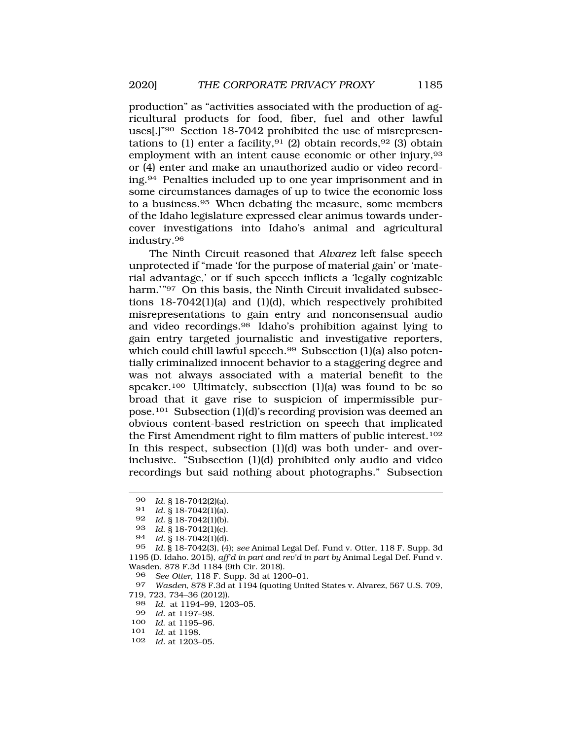production" as "activities associated with the production of agricultural products for food, fiber, fuel and other lawful uses[.]"90 Section 18-7042 prohibited the use of misrepresentations to (1) enter a facility, <sup>91</sup> (2) obtain records, <sup>92</sup> (3) obtain employment with an intent cause economic or other injury, 93 or (4) enter and make an unauthorized audio or video recording.94 Penalties included up to one year imprisonment and in some circumstances damages of up to twice the economic loss to a [business.95](https://business.95) When debating the measure, some members of the Idaho legislature expressed clear animus towards undercover investigations into Idaho's animal and agricultural [industry.96](https://industry.96) 

The Ninth Circuit reasoned that *Alvarez* left false speech unprotected if "made 'for the purpose of material gain' or 'material advantage,' or if such speech inflicts a 'legally cognizable harm.'"<sup>97</sup> On this basis, the Ninth Circuit invalidated subsections 18-7042(1)(a) and (1)(d), which respectively prohibited misrepresentations to gain entry and nonconsensual audio and video [recordings.98](https://recordings.98) Idaho's prohibition against lying to gain entry targeted journalistic and investigative reporters, which could chill lawful speech.<sup>99</sup> Subsection (1)(a) also potentially criminalized innocent behavior to a staggering degree and was not always associated with a material benefit to the speaker.<sup>100</sup> Ultimately, subsection (1)(a) was found to be so broad that it gave rise to suspicion of impermissible purpose.101 Subsection (1)(d)'s recording provision was deemed an obvious content-based restriction on speech that implicated the First Amendment right to film matters of public interest.102 In this respect, subsection (1)(d) was both under- and overinclusive. "Subsection (1)(d) prohibited only audio and video recordings but said nothing about photographs." Subsection

94 *Id.* § 18-7042(1)(d).

- 98 *Id.* at 1194–99, 1203–05.
- 99 *Id.* at 1197–98.
- 100 *Id*. at 1195–96.
- 101 *Id*. at 1198.
- 102 *Id.* at 1203–05.

<sup>90</sup> *Id.* § 18-7042(2)(a).

<sup>91</sup> *Id.* § 18-7042(1)(a).

*Id.* § 18-7042(1)(b).

<sup>93</sup> *Id.* § 18-7042(1)(c).

<sup>95</sup> *Id.* § 18-7042(3), (4); *see* Animal Legal Def. Fund v. Otter, 118 F. Supp. 3d 1195 (D. Idaho. 2015), *aff'd in part and rev'd in part by* Animal Legal Def. Fund v. Wasden, 878 F.3d 1184 (9th Cir. 2018).

<sup>96</sup> *See Otter*, 118 F. Supp. 3d at 1200–01.

<sup>97</sup> *Wasden*, 878 F.3d at 1194 (quoting United States v. Alvarez, 567 U.S. 709, 719, 723, 734–36 (2012)).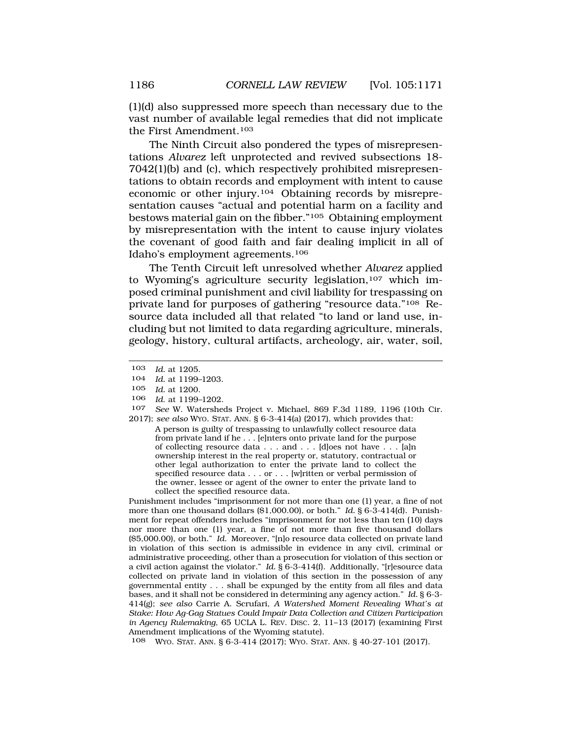(1)(d) also suppressed more speech than necessary due to the vast number of available legal remedies that did not implicate the First Amendment.103

The Ninth Circuit also pondered the types of misrepresentations *Alvarez* left unprotected and revived subsections 18- 7042(1)(b) and (c), which respectively prohibited misrepresentations to obtain records and employment with intent to cause economic or other injury.104 Obtaining records by misrepresentation causes "actual and potential harm on a facility and bestows material gain on the fibber."105 Obtaining employment by misrepresentation with the intent to cause injury violates the covenant of good faith and fair dealing implicit in all of Idaho's employment agreements.106

The Tenth Circuit left unresolved whether *Alvarez* applied to Wyoming's agriculture security legislation,<sup>107</sup> which imposed criminal punishment and civil liability for trespassing on private land for purposes of gathering "resource data."108 Resource data included all that related "to land or land use, including but not limited to data regarding agriculture, minerals, geology, history, cultural artifacts, archeology, air, water, soil,

Punishment includes "imprisonment for not more than one (1) year, a fine of not more than one thousand dollars ([\\$1,000.00](https://1,000.00)), or both." *Id.* § 6-3-414(d). Punishment for repeat offenders includes "imprisonment for not less than ten (10) days nor more than one (1) year, a fine of not more than five thousand dollars (\$[5,000.00\)](https://5,000.00), or both." *Id.* Moreover, "[n]o resource data collected on private land in violation of this section is admissible in evidence in any civil, criminal or administrative proceeding, other than a prosecution for violation of this section or a civil action against the violator." *Id.* § 6-3-414(f). Additionally, "[r]esource data collected on private land in violation of this section in the possession of any governmental entity . . . shall be expunged by the entity from all files and data bases, and it shall not be considered in determining any agency action." *Id.* § 6-3- 414(g); *see also* Carrie A. Scrufari, *A Watershed Moment Revealing What's at Stake: How Ag-Gag Statues Could Impair Data Collection and Citizen Participation in Agency Rulemaking*, 65 UCLA L. REV. DISC. 2, 11–13 (2017) (examining First Amendment implications of the Wyoming statute).

108 WYO. STAT. ANN. § 6-3-414 (2017); WYO. STAT. ANN. § 40-27-101 (2017).

<sup>103</sup> *Id.* at 1205.

<sup>104</sup> *Id.* at 1199–1203.

<sup>105</sup> *Id.* at 1200.

<sup>106</sup> *Id*. at 1199–1202.

<sup>107</sup> *See* W. Watersheds Project v. Michael, 869 F.3d 1189, 1196 (10th Cir. 2017); *see also* WYO. STAT. ANN. § 6-3-414(a) (2017), which provides that:

A person is guilty of trespassing to unlawfully collect resource data from private land if he . . . [e]nters onto private land for the purpose of collecting resource data . . . and . . . [d]oes not have . . . [a]n ownership interest in the real property or, statutory, contractual or other legal authorization to enter the private land to collect the specified resource data . . . or . . . [w]ritten or verbal permission of the owner, lessee or agent of the owner to enter the private land to collect the specified resource data.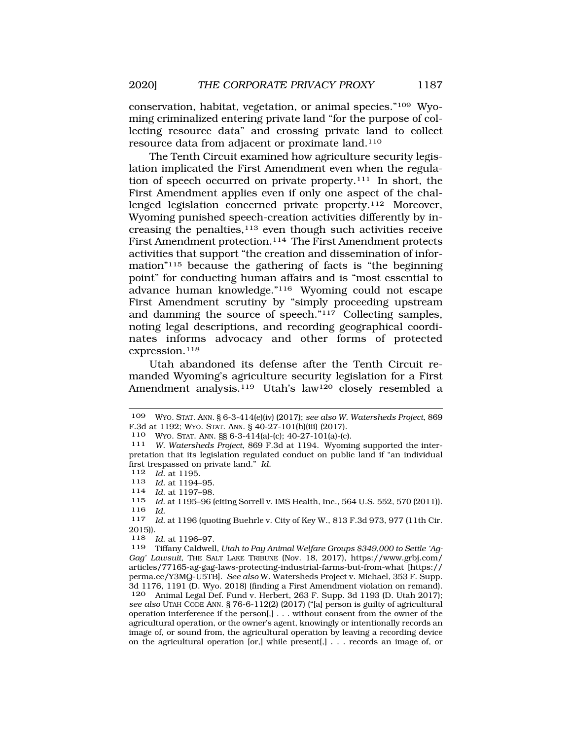conservation, habitat, vegetation, or animal species."109 Wyoming criminalized entering private land "for the purpose of collecting resource data" and crossing private land to collect resource data from adjacent or proximate land.110

The Tenth Circuit examined how agriculture security legislation implicated the First Amendment even when the regulation of speech occurred on private property.111 In short, the First Amendment applies even if only one aspect of the challenged legislation concerned private property.112 Moreover, Wyoming punished speech-creation activities differently by increasing the penalties, $113$  even though such activities receive First Amendment protection.114 The First Amendment protects activities that support "the creation and dissemination of information"115 because the gathering of facts is "the beginning point" for conducting human affairs and is "most essential to advance human knowledge."116 Wyoming could not escape First Amendment scrutiny by "simply proceeding upstream and damming the source of speech."117 Collecting samples, noting legal descriptions, and recording geographical coordinates informs advocacy and other forms of protected expression.<sup>118</sup>

Utah abandoned its defense after the Tenth Circuit remanded Wyoming's agriculture security legislation for a First Amendment analysis.<sup>119</sup> Utah's law<sup>120</sup> closely resembled a

<sup>113</sup>*Id.* at 1194–95. 114 *Id.* at 1197–98.

<sup>109</sup> WYO. STAT. ANN. § 6-3-414(e)(iv) (2017); *see also W. Watersheds Project*, 869 F.3d at 1192; Wyo. STAT. ANN. § 40-27-101(h)(iii) (2017).<br>110 Wyo. STAT. ANN. §§ 6-3-414(a)-(c); 40-27-101(a)-(c).

<sup>111</sup> W. Watersheds Project, 869 F.3d at 1194. Wyoming supported the interpretation that its legislation regulated conduct on public land if "an individual first trespassed on private land." *Id.* 

<sup>112</sup> *Id.* at 1195.<br>113 *Id* at 1194-

Id. at 1195-96 (citing Sorrell v. IMS Health, Inc., 564 U.S. 552, 570 (2011)). <sup>116</sup>*Id.* 117 *Id.* at 1196 (quoting Buehrle v. City of Key W., 813 F.3d 973, 977 (11th Cir.

<sup>2015)).</sup> 

<sup>118</sup> *Id.* at 1196–97.

<sup>119</sup> Tiffany Caldwell, *Utah to Pay Animal Welfare Groups \$349,000 to Settle 'Ag-Gag' Lawsuit*, THE SALT LAKE TRIBUNE (Nov. 18, 2017), [https://www.grbj.com/](https://www.grbj.com) articles/77165-ag-gag-laws-protecting-industrial-farms-but-from-what [https:// perma.cc/Y3MQ-U5TB]. *See also* W. Watersheds Project v. Michael, 353 F. Supp. 3d 1176, 1191 (D. Wyo. 2018) (finding a First Amendment violation on remand). 120 Animal Legal Def. Fund v. Herbert, 263 F. Supp. 3d 1193 (D. Utah 2017); *see also* UTAH CODE ANN. § 76-6-112(2) (2017) ("[a] person is guilty of agricultural operation interference if the person[,] . . . without consent from the owner of the agricultural operation, or the owner's agent, knowingly or intentionally records an image of, or sound from, the agricultural operation by leaving a recording device on the agricultural operation [or,] while present[,] . . . records an image of, or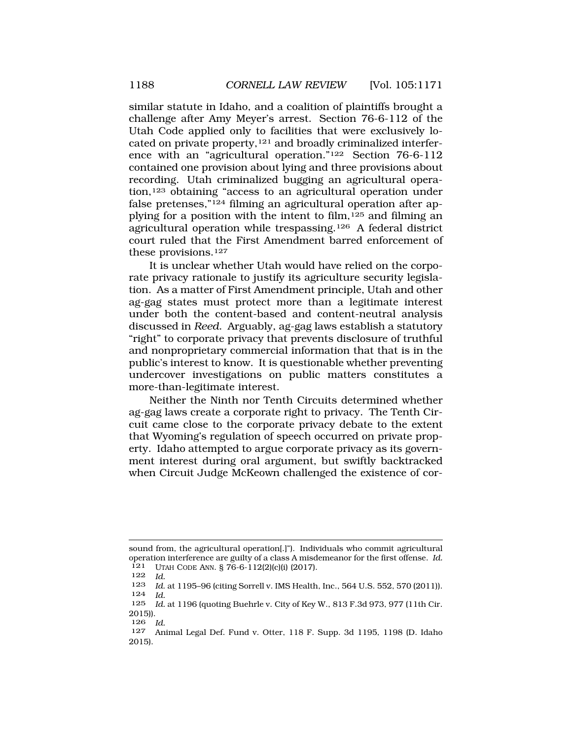similar statute in Idaho, and a coalition of plaintiffs brought a challenge after Amy Meyer's arrest. Section 76-6-112 of the Utah Code applied only to facilities that were exclusively located on private property,121 and broadly criminalized interference with an "agricultural operation."122 Section 76-6-112 contained one provision about lying and three provisions about recording. Utah criminalized bugging an agricultural operation,123 obtaining "access to an agricultural operation under false pretenses,"124 filming an agricultural operation after applying for a position with the intent to film,125 and filming an agricultural operation while trespassing.126 A federal district court ruled that the First Amendment barred enforcement of these provisions.127

It is unclear whether Utah would have relied on the corporate privacy rationale to justify its agriculture security legislation. As a matter of First Amendment principle, Utah and other ag-gag states must protect more than a legitimate interest under both the content-based and content-neutral analysis discussed in *Reed*. Arguably, ag-gag laws establish a statutory "right" to corporate privacy that prevents disclosure of truthful and nonproprietary commercial information that that is in the public's interest to know. It is questionable whether preventing undercover investigations on public matters constitutes a more-than-legitimate interest.

Neither the Ninth nor Tenth Circuits determined whether ag-gag laws create a corporate right to privacy. The Tenth Circuit came close to the corporate privacy debate to the extent that Wyoming's regulation of speech occurred on private property. Idaho attempted to argue corporate privacy as its government interest during oral argument, but swiftly backtracked when Circuit Judge McKeown challenged the existence of cor-

126 *Id.* 

sound from, the agricultural operation[.]"). Individuals who commit agricultural operation interference are guilty of a class A misdemeanor for the first offense. *Id.*  121 UTAH CODE ANN. § 76-6-112(2)(c)(i) (2017).

<sup>122</sup> *Id.* 

*Id.* at 1195–96 (citing Sorrell v. IMS Health, Inc., 564 U.S. 552, 570 (2011)). 124 *Id.* 

<sup>125</sup> *Id.* at 1196 (quoting Buehrle v. City of Key W., 813 F.3d 973, 977 (11th Cir. 2015)).

<sup>127</sup> Animal Legal Def. Fund v. Otter, 118 F. Supp. 3d 1195, 1198 (D. Idaho 2015).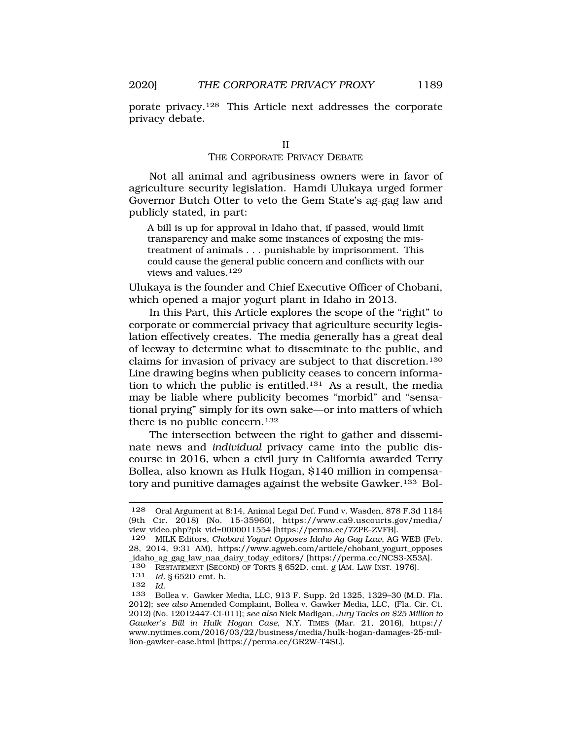porate privacy.128 This Article next addresses the corporate privacy debate.

## THE CORPORATE PRIVACY DEBATE

Not all animal and agribusiness owners were in favor of agriculture security legislation. Hamdi Ulukaya urged former Governor Butch Otter to veto the Gem State's ag-gag law and publicly stated, in part:

A bill is up for approval in Idaho that, if passed, would limit transparency and make some instances of exposing the mistreatment of animals . . . punishable by imprisonment. This could cause the general public concern and conflicts with our views and values.<sup>129</sup>

Ulukaya is the founder and Chief Executive Officer of Chobani, which opened a major yogurt plant in Idaho in 2013.

In this Part, this Article explores the scope of the "right" to corporate or commercial privacy that agriculture security legislation effectively creates. The media generally has a great deal of leeway to determine what to disseminate to the public, and claims for invasion of privacy are subject to that discretion.130 Line drawing begins when publicity ceases to concern information to which the public is entitled.131 As a result, the media may be liable where publicity becomes "morbid" and "sensational prying" simply for its own sake—or into matters of which there is no public concern.<sup>132</sup>

The intersection between the right to gather and disseminate news and *individual* privacy came into the public discourse in 2016, when a civil jury in California awarded Terry Bollea, also known as Hulk Hogan, \$140 million in compensatory and punitive damages against the website Gawker.<sup>133</sup> Bol-

<sup>128</sup> Oral Argument at 8:14, Animal Legal Def. Fund v. Wasden, 878 F.3d 1184 (9th Cir. 2018) (No. 15-35960), [https://www.ca9.uscourts.gov/media/](https://www.ca9.uscourts.gov/media) view\_video.php?pk\_vid=0000011554 [\[https://perma.cc/7ZPE-ZVFB](https://perma.cc/7ZPE-ZVFB)].

<sup>129</sup> MILK Editors, *Chobani Yogurt Opposes Idaho Ag Gag Law*, AG WEB (Feb. 28, 2014, 9:31 AM), [https://www.agweb.com/article/chobani\\_yogurt\\_opposes](https://www.agweb.com/article/chobani_yogurt_opposes) \_idaho\_ag\_gag\_law\_naa\_dairy\_today\_editors/ [[https://perma.cc/NCS3-X53A\]](https://perma.cc/NCS3-X53A).

<sup>130</sup> RESTATEMENT (SECOND) OF TORTS § 652D, cmt. g (AM. LAW INST. 1976).

<sup>131</sup> *Id.* § 652D cmt. h.

<sup>132</sup> *Id.* 

<sup>133</sup> Bollea v. Gawker Media, LLC, 913 F. Supp. 2d 1325, 1329–30 (M.D. Fla. 2012); *see also* Amended Complaint, Bollea v. Gawker Media, LLC, (Fla. Cir. Ct. 2012) (No. 12012447-CI-011); *see also* Nick Madigan, *Jury Tacks on \$25 Million to Gawker's Bill in Hulk Hogan Case*, N.Y. TIMES (Mar. 21, 2016), https:// <www.nytimes.com/2016/03/22/business/media/hulk-hogan-damages-25-mil>lion-gawker-case.html [\[https://perma.cc/GR2W-T4SL](https://perma.cc/GR2W-T4SL)].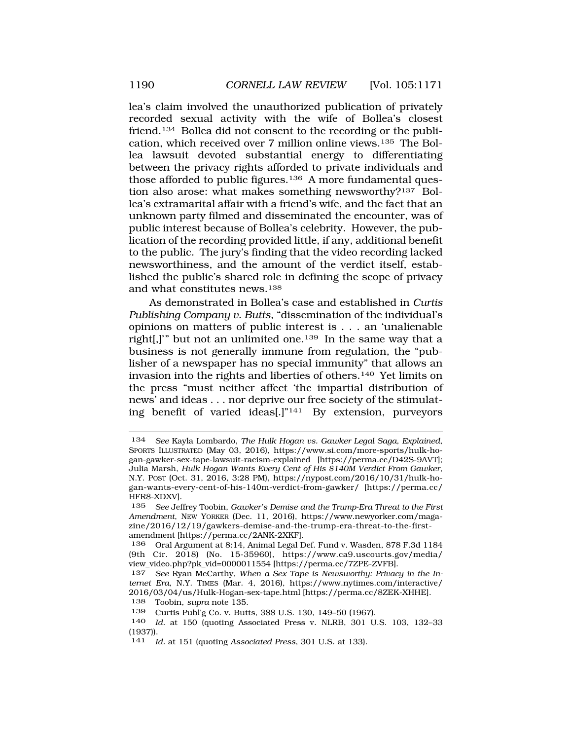lea's claim involved the unauthorized publication of privately recorded sexual activity with the wife of Bollea's closest friend.134 Bollea did not consent to the recording or the publication, which received over 7 million online views.135 The Bollea lawsuit devoted substantial energy to differentiating between the privacy rights afforded to private individuals and those afforded to public figures.<sup>136</sup> A more fundamental question also arose: what makes something newsworthy?137 Bollea's extramarital affair with a friend's wife, and the fact that an unknown party filmed and disseminated the encounter, was of public interest because of Bollea's celebrity. However, the publication of the recording provided little, if any, additional benefit to the public. The jury's finding that the video recording lacked newsworthiness, and the amount of the verdict itself, established the public's shared role in defining the scope of privacy and what constitutes news.138

As demonstrated in Bollea's case and established in *Curtis Publishing Company v. Butts*, "dissemination of the individual's opinions on matters of public interest is . . . an 'unalienable right[,]'" but not an unlimited one.139 In the same way that a business is not generally immune from regulation, the "publisher of a newspaper has no special immunity" that allows an invasion into the rights and liberties of others.140 Yet limits on the press "must neither affect 'the impartial distribution of news' and ideas . . . nor deprive our free society of the stimulating benefit of varied ideas[.]"141 By extension, purveyors

<sup>134</sup> *See* Kayla Lombardo, *The Hulk Hogan vs. Gawker Legal Saga, Explained*, SPORTS ILLUSTRATED (May 03, 2016), <https://www.si.com/more-sports/hulk-ho>gan-gawker-sex-tape-lawsuit-racism-explained [\[https://perma.cc/D42S-9AVT\]](https://perma.cc/D42S-9AVT); Julia Marsh, *Hulk Hogan Wants Every Cent of His \$140M Verdict From Gawker*, N.Y. POST (Oct. 31, 2016, 3:28 PM), <https://nypost.com/2016/10/31/hulk-ho>gan-wants-every-cent-of-his-140m-verdict-from-gawker/ [[https://perma.cc/](https://perma.cc) HFR8-XDXV].

<sup>135</sup> *See* Jeffrey Toobin, *Gawker's Demise and the Trump-Era Threat to the First Amendment*, NEW YORKER (Dec. 11, 2016), <https://www.newyorker.com/maga>zine/2016/12/19/gawkers-demise-and-the-trump-era-threat-to-the-firstamendment [<https://perma.cc/2ANK-2XKF>].

<sup>136</sup> Oral Argument at 8:14, Animal Legal Def. Fund v. Wasden, 878 F.3d 1184 (9th Cir. 2018) (No. 15-35960), [https://www.ca9.uscourts.gov/media/](https://www.ca9.uscourts.gov/media) view\_video.php?pk\_vid=0000011554 [\[https://perma.cc/7ZPE-ZVFB](https://perma.cc/7ZPE-ZVFB)].

<sup>137</sup> *See* Ryan McCarthy, *When a Sex Tape is Newsworthy: Privacy in the Internet Era*, N.Y. TIMES (Mar. 4, 2016), [https://www.nytimes.com/interactive/](https://www.nytimes.com/interactive) 2016/03/04/us/Hulk-Hogan-sex-tape.html [[https://perma.cc/8ZEK-XHHE\]](https://perma.cc/8ZEK-XHHE). 138 Toobin, *supra* note 135.

<sup>139</sup> Curtis Publ'g Co. v. Butts, 388 U.S. 130, 149–50 (1967).

<sup>140</sup> *Id.* at 150 (quoting Associated Press v. NLRB, 301 U.S. 103, 132–33 (1937)).

<sup>141</sup> *Id.* at 151 (quoting *Associated Press*, 301 U.S. at 133).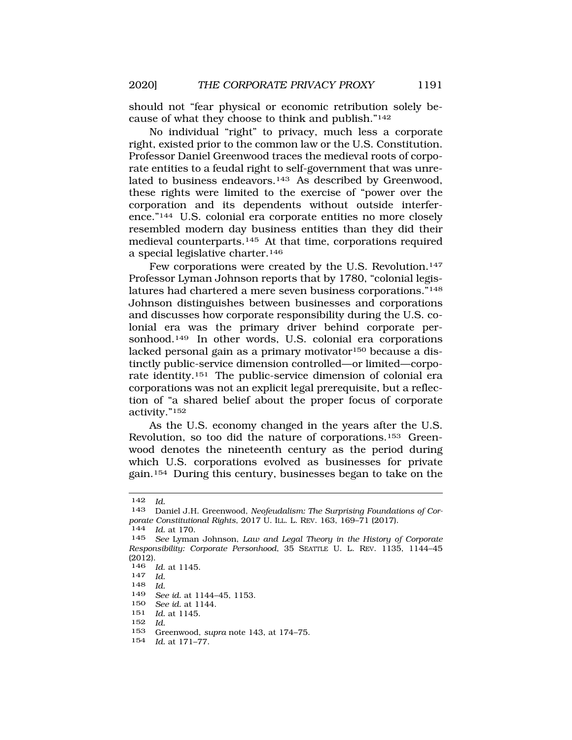should not "fear physical or economic retribution solely because of what they choose to think and publish."142

No individual "right" to privacy, much less a corporate right, existed prior to the common law or the U.S. Constitution. Professor Daniel Greenwood traces the medieval roots of corporate entities to a feudal right to self-government that was unrelated to business endeavors.<sup>143</sup> As described by Greenwood, these rights were limited to the exercise of "power over the corporation and its dependents without outside interference."144 U.S. colonial era corporate entities no more closely resembled modern day business entities than they did their medieval counterparts.145 At that time, corporations required a special legislative charter.146

Few corporations were created by the U.S. Revolution.<sup>147</sup> Professor Lyman Johnson reports that by 1780, "colonial legislatures had chartered a mere seven business corporations."148 Johnson distinguishes between businesses and corporations and discusses how corporate responsibility during the U.S. colonial era was the primary driver behind corporate personhood.149 In other words, U.S. colonial era corporations lacked personal gain as a primary motivator<sup>150</sup> because a distinctly public-service dimension controlled—or limited—corporate identity.151 The public-service dimension of colonial era corporations was not an explicit legal prerequisite, but a reflection of "a shared belief about the proper focus of corporate activity."152

As the U.S. economy changed in the years after the U.S. Revolution, so too did the nature of corporations.153 Greenwood denotes the nineteenth century as the period during which U.S. corporations evolved as businesses for private gain.154 During this century, businesses began to take on the

152 *Id.* 

154 *Id.* at 171–77.

<sup>142</sup> *Id.* 

<sup>143</sup> Daniel J.H. Greenwood, *Neofeudalism: The Surprising Foundations of Corporate Constitutional Rights*, 2017 U. ILL. L. REV. 163, 169–71 (2017). 144 *Id.* at 170.

<sup>145</sup> *See* Lyman Johnson, *Law and Legal Theory in the History of Corporate Responsibility: Corporate Personhood*, 35 SEATTLE U. L. REV. 1135, 1144–45 (2012).

<sup>146</sup>*Id*. at 1145. 147 *Id.* 

<sup>148</sup> *Id.* 

<sup>149</sup> *See id.* at 1144–45, 1153.

<sup>150</sup> *See id.* at 1144.

<sup>151</sup> *Id.* at 1145.

<sup>153</sup> Greenwood, *supra* note 143, at 174–75.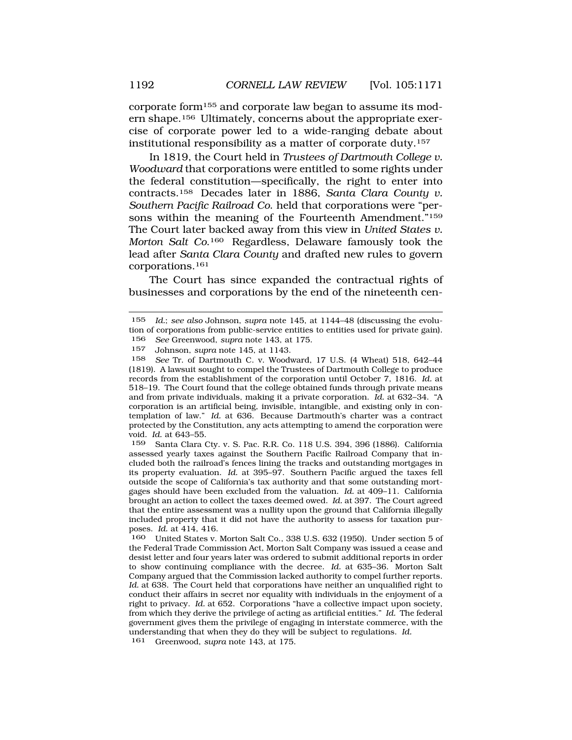corporate form155 and corporate law began to assume its modern shape.156 Ultimately, concerns about the appropriate exercise of corporate power led to a wide-ranging debate about institutional responsibility as a matter of corporate duty.157

In 1819, the Court held in *Trustees of Dartmouth College v. Woodward* that corporations were entitled to some rights under the federal constitution—specifically, the right to enter into contracts.158 Decades later in 1886, *Santa Clara County v. Southern Pacific Railroad Co*. held that corporations were "persons within the meaning of the Fourteenth Amendment."<sup>159</sup> The Court later backed away from this view in *United States v. Morton Salt Co*.160 Regardless, Delaware famously took the lead after *Santa Clara County* and drafted new rules to govern corporations.161

The Court has since expanded the contractual rights of businesses and corporations by the end of the nineteenth cen-

159 Santa Clara Cty. v. S. Pac. R.R. Co. 118 U.S. 394, 396 (1886). California assessed yearly taxes against the Southern Pacific Railroad Company that included both the railroad's fences lining the tracks and outstanding mortgages in its property evaluation. *Id.* at 395–97. Southern Pacific argued the taxes fell outside the scope of California's tax authority and that some outstanding mortgages should have been excluded from the valuation. *Id.* at 409–11. California brought an action to collect the taxes deemed owed. *Id.* at 397. The Court agreed that the entire assessment was a nullity upon the ground that California illegally included property that it did not have the authority to assess for taxation purposes. *Id.* at 414, 416.

160 United States v. Morton Salt Co., 338 U.S. 632 (1950). Under section 5 of the Federal Trade Commission Act, Morton Salt Company was issued a cease and desist letter and four years later was ordered to submit additional reports in order to show continuing compliance with the decree. *Id.* at 635–36. Morton Salt Company argued that the Commission lacked authority to compel further reports. *Id.* at 638. The Court held that corporations have neither an unqualified right to conduct their affairs in secret nor equality with individuals in the enjoyment of a right to privacy. *Id.* at 652. Corporations "have a collective impact upon society, from which they derive the privilege of acting as artificial entities." *Id.* The federal government gives them the privilege of engaging in interstate commerce, with the understanding that when they do they will be subject to regulations. *Id.*  161 Greenwood, *supra* note 143, at 175.

<sup>155</sup> *Id.*; *see also* Johnson, *supra* note 145, at 1144–48 (discussing the evolution of corporations from public-service entities to entities used for private gain). 156 *See* Greenwood, *supra* note 143, at 175.

<sup>157</sup> Johnson, *supra* note 145, at 1143.

<sup>158</sup> *See* Tr. of Dartmouth C. v. Woodward, 17 U.S. (4 Wheat) 518, 642–44 (1819). A lawsuit sought to compel the Trustees of Dartmouth College to produce records from the establishment of the corporation until October 7, 1816. *Id.* at 518–19. The Court found that the college obtained funds through private means and from private individuals, making it a private corporation. *Id.* at 632–34. "A corporation is an artificial being, invisible, intangible, and existing only in contemplation of law." *Id.* at 636. Because Dartmouth's charter was a contract protected by the Constitution, any acts attempting to amend the corporation were void. *Id.* at 643–55.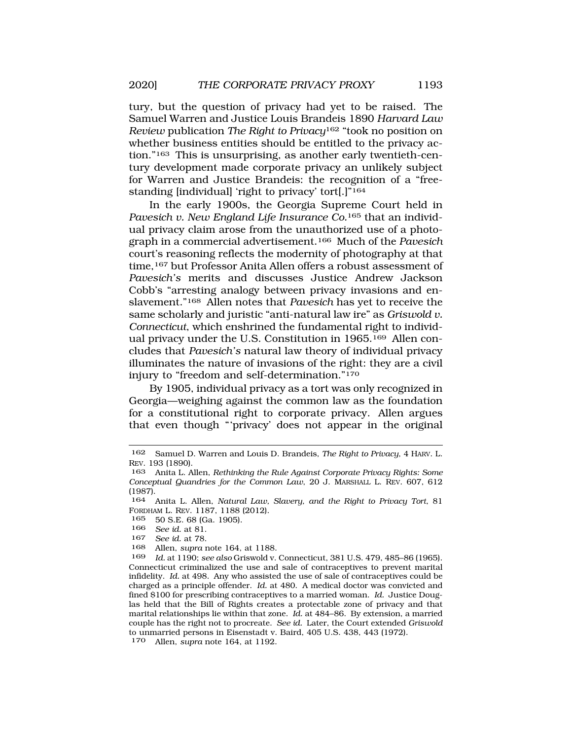tury, but the question of privacy had yet to be raised. The Samuel Warren and Justice Louis Brandeis 1890 *Harvard Law Review* publication *The Right to Privacy*162 "took no position on whether business entities should be entitled to the privacy ac-

tion."163 This is unsurprising, as another early twentieth-century development made corporate privacy an unlikely subject for Warren and Justice Brandeis: the recognition of a "freestanding [individual] 'right to privacy' tort[.]"164

In the early 1900s, the Georgia Supreme Court held in *Pavesich v. New England Life Insurance Co.*165 that an individual privacy claim arose from the unauthorized use of a photograph in a commercial advertisement.166 Much of the *Pavesich*  court's reasoning reflects the modernity of photography at that time,<sup>167</sup> but Professor Anita Allen offers a robust assessment of *Pavesich's* merits and discusses Justice Andrew Jackson Cobb's "arresting analogy between privacy invasions and enslavement."168 Allen notes that *Pavesich* has yet to receive the same scholarly and juristic "anti-natural law ire" as *Griswold v. Connecticut*, which enshrined the fundamental right to individual privacy under the U.S. Constitution in 1965.169 Allen concludes that *Pavesich's* natural law theory of individual privacy illuminates the nature of invasions of the right: they are a civil injury to "freedom and self-determination."170

By 1905, individual privacy as a tort was only recognized in Georgia—weighing against the common law as the foundation for a constitutional right to corporate privacy. Allen argues that even though "'privacy' does not appear in the original

- 165 50 S.E. 68 (Ga. 1905).
- 166 *See id.* at 81.
- See id. at 78.

<sup>162</sup> Samuel D. Warren and Louis D. Brandeis, *The Right to Privacy*, 4 HARV. L. REV. 193 (1890).

<sup>163</sup> Anita L. Allen, *Rethinking the Rule Against Corporate Privacy Rights: Some Conceptual Quandries for the Common Law*, 20 J. MARSHALL L. REV. 607, 612 (1987).

<sup>164</sup> Anita L. Allen, *Natural Law, Slavery, and the Right to Privacy Tort*, 81 FORDHAM L. REV. 1187, 1188 (2012).

<sup>168</sup> Allen, *supra* note 164, at 1188.

*Id.* at 1190; see also Griswold v. Connecticut, 381 U.S. 479, 485-86 (1965). Connecticut criminalized the use and sale of contraceptives to prevent marital infidelity. *Id.* at 498. Any who assisted the use of sale of contraceptives could be charged as a principle offender. *Id.* at 480. A medical doctor was convicted and fined \$100 for prescribing contraceptives to a married woman. *Id.* Justice Douglas held that the Bill of Rights creates a protectable zone of privacy and that marital relationships lie within that zone. *Id.* at 484–86. By extension, a married couple has the right not to procreate. *See id.* Later, the Court extended *Griswold*  to unmarried persons in Eisenstadt v. Baird, 405 U.S. 438, 443 (1972). 170 Allen, *supra* note 164, at 1192.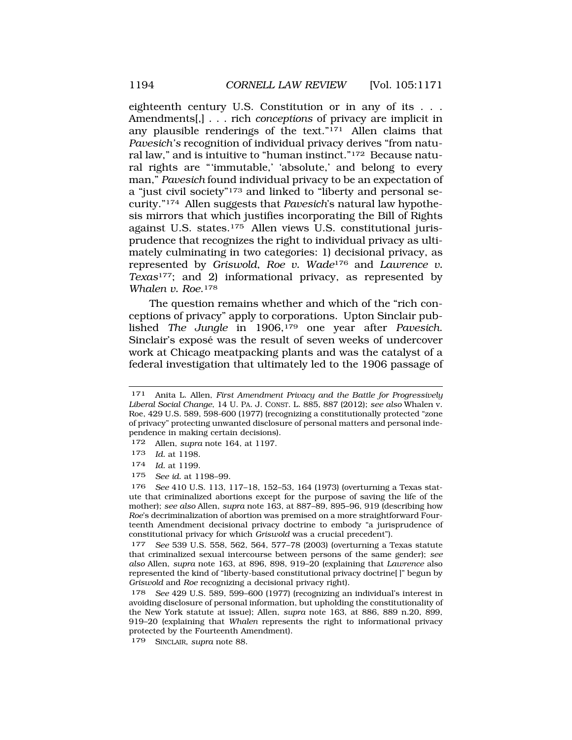eighteenth century U.S. Constitution or in any of its . . . Amendments[,] . . . rich *conceptions* of privacy are implicit in any plausible renderings of the text."171 Allen claims that *Pavesich's* recognition of individual privacy derives "from natural law," and is intuitive to "human instinct."172 Because natural rights are "'immutable,' 'absolute,' and belong to every man," *Pavesich* found individual privacy to be an expectation of a "just civil society"173 and linked to "liberty and personal security."174 Allen suggests that *Pavesich*'s natural law hypothesis mirrors that which justifies incorporating the Bill of Rights against U.S. states.175 Allen views U.S. constitutional jurisprudence that recognizes the right to individual privacy as ultimately culminating in two categories: 1) decisional privacy, as represented by *Griswold*, *Roe v. Wade*176 and *Lawrence v. Texas*177; and 2) informational privacy, as represented by *Whalen v. Roe*.178

The question remains whether and which of the "rich conceptions of privacy" apply to corporations. Upton Sinclair published *The Jungle* in 1906,179 one year after *Pavesich*. Sinclair's exposé was the result of seven weeks of undercover work at Chicago meatpacking plants and was the catalyst of a federal investigation that ultimately led to the 1906 passage of

<sup>171</sup> Anita L. Allen, *First Amendment Privacy and the Battle for Progressively Liberal Social Change*, 14 U. PA. J. CONST. L. 885, 887 (2012); *see also* Whalen v. Roe, 429 U.S. 589, 598-600 (1977) (recognizing a constitutionally protected "zone of privacy" protecting unwanted disclosure of personal matters and personal independence in making certain decisions).

<sup>172</sup> Allen, *supra* note 164, at 1197.

<sup>173</sup> *Id.* at 1198.

<sup>174</sup> *Id.* at 1199.

<sup>175</sup> *See id.* at 1198–99.

<sup>176</sup> *See* 410 U.S. 113, 117–18, 152–53, 164 (1973) (overturning a Texas statute that criminalized abortions except for the purpose of saving the life of the mother); *see also* Allen, *supra* note 163, at 887–89, 895–96, 919 (describing how *Roe*'s decriminalization of abortion was premised on a more straightforward Fourteenth Amendment decisional privacy doctrine to embody "a jurisprudence of constitutional privacy for which *Griswold* was a crucial precedent").

<sup>177</sup> *See* 539 U.S. 558, 562, 564, 577–78 (2003) (overturning a Texas statute that criminalized sexual intercourse between persons of the same gender); *see also* Allen, *supra* note 163, at 896, 898, 919–20 (explaining that *Lawrence* also represented the kind of "liberty-based constitutional privacy doctrine[ ]" begun by *Griswold* and *Roe* recognizing a decisional privacy right).

<sup>178</sup> *See* 429 U.S. 589, 599–600 (1977) (recognizing an individual's interest in avoiding disclosure of personal information, but upholding the constitutionality of the New York statute at issue); Allen, *supra* note 163, at 886, 889 n.20, 899, 919–20 (explaining that *Whalen* represents the right to informational privacy protected by the Fourteenth Amendment).

<sup>179</sup> SINCLAIR, *supra* note 88.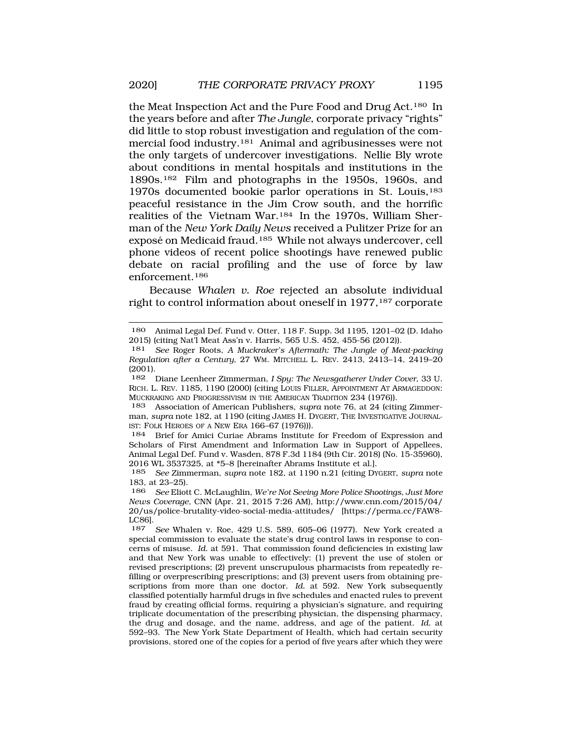the Meat Inspection Act and the Pure Food and Drug Act.180 In the years before and after *The Jungle*, corporate privacy "rights" did little to stop robust investigation and regulation of the commercial food industry.181 Animal and agribusinesses were not the only targets of undercover investigations. Nellie Bly wrote about conditions in mental hospitals and institutions in the 1890s.182 Film and photographs in the 1950s, 1960s, and 1970s documented bookie parlor operations in St. Louis,183 peaceful resistance in the Jim Crow south, and the horrific realities of the Vietnam War.184 In the 1970s, William Sherman of the *New York Daily News* received a Pulitzer Prize for an exposé on Medicaid fraud.<sup>185</sup> While not always undercover, cell phone videos of recent police shootings have renewed public debate on racial profiling and the use of force by law enforcement.186

Because *Whalen v. Roe* rejected an absolute individual right to control information about oneself in 1977,<sup>187</sup> corporate

182 Diane Leenheer Zimmerman, *I Spy: The Newsgatherer Under Cover*, 33 U. RICH. L. REV. 1185, 1190 (2000) (citing LOUIS FILLER, APPOINTMENT AT ARMAGEDDON: MUCKRAKING AND PROGRESSIVISM IN THE AMERICAN TRADITION 234 (1976)).

183 Association of American Publishers, *supra* note 76, at 24 (citing Zimmerman, *supra* note 182, at 1190 (citing JAMES H. DYGERT, THE INVESTIGATIVE JOURNAL-IST: FOLK HEROES OF A NEW ERA 166–67 (1976))).

184 Brief for Amici Curiae Abrams Institute for Freedom of Expression and Scholars of First Amendment and Information Law in Support of Appellees, Animal Legal Def. Fund v. Wasden, 878 F.3d 1184 (9th Cir. 2018) (No. 15-35960), 2016 WL 3537325, at  $*5-8$  [hereinafter Abrams Institute et al.].<br>185 See Zimmerman, supra note 182, at 1190 n 21 (citing Dy

185 *See* Zimmerman, *supra* note 182, at 1190 n.21 (citing DYGERT, *supra* note 183, at 23–25).

186 *See* Eliott C. McLaughlin, *We're Not Seeing More Police Shootings, Just More News Coverage,* CNN (Apr. 21, 2015 7:26 AM), [http://www.cnn.com/2015/04/](http://www.cnn.com/2015/04) 20/us/police-brutality-video-social-media-attitudes/ [\[https://perma.cc/FAW8-](https://perma.cc/FAW8) LC86].<br>187

187 *See* Whalen v. Roe, 429 U.S. 589, 605–06 (1977). New York created a special commission to evaluate the state's drug control laws in response to concerns of misuse. *Id.* at 591. That commission found deficiencies in existing law and that New York was unable to effectively: (1) prevent the use of stolen or revised prescriptions; (2) prevent unscrupulous pharmacists from repeatedly refilling or overprescribing prescriptions; and (3) prevent users from obtaining prescriptions from more than one doctor. *Id.* at 592. New York subsequently classified potentially harmful drugs in five schedules and enacted rules to prevent fraud by creating official forms, requiring a physician's signature, and requiring triplicate documentation of the prescribing physician, the dispensing pharmacy, the drug and dosage, and the name, address, and age of the patient. *Id.* at 592–93. The New York State Department of Health, which had certain security provisions, stored one of the copies for a period of five years after which they were

<sup>180</sup> Animal Legal Def. Fund v. Otter, 118 F. Supp. 3d 1195, 1201–02 (D. Idaho 2015) (citing Nat'l Meat Ass'n v. Harris, 565 U.S. 452, 455-56 (2012)).

See Roger Roots, *A Muckraker's Aftermath: The Jungle of Meat-packing Regulation after a Century*, 27 WM. MITCHELL L. REV. 2413, 2413–14, 2419–20 (2001).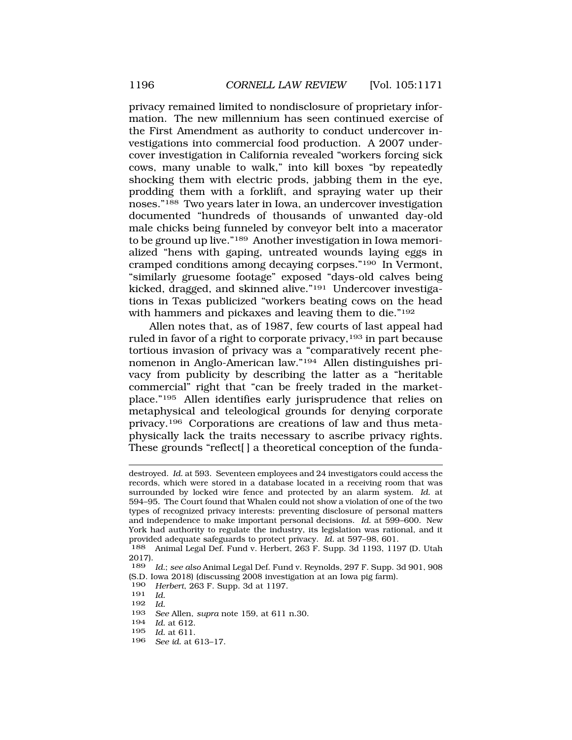privacy remained limited to nondisclosure of proprietary information. The new millennium has seen continued exercise of the First Amendment as authority to conduct undercover investigations into commercial food production. A 2007 undercover investigation in California revealed "workers forcing sick cows, many unable to walk," into kill boxes "by repeatedly shocking them with electric prods, jabbing them in the eye, prodding them with a forklift, and spraying water up their noses."188 Two years later in Iowa, an undercover investigation documented "hundreds of thousands of unwanted day-old male chicks being funneled by conveyor belt into a macerator to be ground up live."189 Another investigation in Iowa memorialized "hens with gaping, untreated wounds laying eggs in cramped conditions among decaying corpses."190 In Vermont, "similarly gruesome footage" exposed "days-old calves being kicked, dragged, and skinned alive."191 Undercover investigations in Texas publicized "workers beating cows on the head with hammers and pickaxes and leaving them to die."192

Allen notes that, as of 1987, few courts of last appeal had ruled in favor of a right to corporate privacy,<sup>193</sup> in part because tortious invasion of privacy was a "comparatively recent phenomenon in Anglo-American law."194 Allen distinguishes privacy from publicity by describing the latter as a "heritable commercial" right that "can be freely traded in the marketplace."195 Allen identifies early jurisprudence that relies on metaphysical and teleological grounds for denying corporate privacy.196 Corporations are creations of law and thus metaphysically lack the traits necessary to ascribe privacy rights. These grounds "reflect[] a theoretical conception of the funda-

192 *Id.* 

- 195 *Id.* at 611.
- 196 *See id.* at 613–17.

destroyed. *Id.* at 593. Seventeen employees and 24 investigators could access the records, which were stored in a database located in a receiving room that was surrounded by locked wire fence and protected by an alarm system. *Id.* at 594–95. The Court found that Whalen could not show a violation of one of the two types of recognized privacy interests: preventing disclosure of personal matters and independence to make important personal decisions. *Id.* at 599–600. New York had authority to regulate the industry, its legislation was rational, and it provided adequate safeguards to protect privacy. *Id.* at 597–98, 601.

<sup>188</sup> Animal Legal Def. Fund v. Herbert, 263 F. Supp. 3d 1193, 1197 (D. Utah 2017).

<sup>189</sup> *Id.*; *see also* Animal Legal Def. Fund v. Reynolds, 297 F. Supp. 3d 901, 908 (S.D. Iowa 2018) (discussing 2008 investigation at an Iowa pig farm).<br> $190$  Herbert 263 F. Supp. 3d at 1197

*Herbert*, 263 F. Supp. 3d at 1197.

<sup>191</sup> *Id.* 

<sup>193</sup> *See* Allen, *supra* note 159, at 611 n.30.

<sup>194</sup> *Id.* at 612.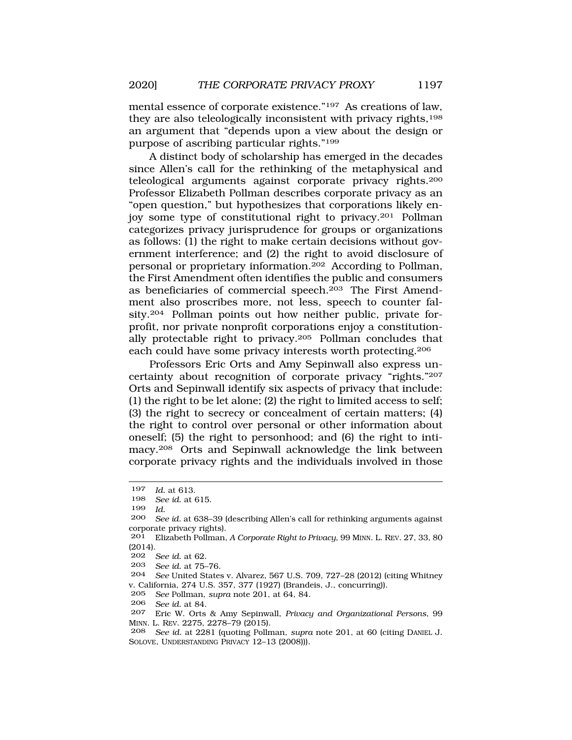mental essence of corporate existence."197 As creations of law, they are also teleologically inconsistent with privacy rights,<sup>198</sup> an argument that "depends upon a view about the design or purpose of ascribing particular rights."199

A distinct body of scholarship has emerged in the decades since Allen's call for the rethinking of the metaphysical and teleological arguments against corporate privacy rights.200 Professor Elizabeth Pollman describes corporate privacy as an "open question," but hypothesizes that corporations likely enjoy some type of constitutional right to privacy.201 Pollman categorizes privacy jurisprudence for groups or organizations as follows: (1) the right to make certain decisions without government interference; and (2) the right to avoid disclosure of personal or proprietary information.202 According to Pollman, the First Amendment often identifies the public and consumers as beneficiaries of commercial speech.203 The First Amendment also proscribes more, not less, speech to counter falsity.204 Pollman points out how neither public, private forprofit, nor private nonprofit corporations enjoy a constitutionally protectable right to privacy.205 Pollman concludes that each could have some privacy interests worth protecting.206

Professors Eric Orts and Amy Sepinwall also express uncertainty about recognition of corporate privacy "rights."207 Orts and Sepinwall identify six aspects of privacy that include: (1) the right to be let alone; (2) the right to limited access to self; (3) the right to secrecy or concealment of certain matters; (4) the right to control over personal or other information about oneself; (5) the right to personhood; and (6) the right to intimacy.208 Orts and Sepinwall acknowledge the link between corporate privacy rights and the individuals involved in those

<sup>197</sup> *Id.* at 613.

See id. at 615.

<sup>199</sup> *Id.* 

<sup>200</sup> *See id.* at 638–39 (describing Allen's call for rethinking arguments against corporate privacy rights).

<sup>201</sup> Elizabeth Pollman, *A Corporate Right to Privacy*, 99 MINN. L. REV. 27, 33, 80 (2014).

<sup>202</sup> *See id.* at 62.

<sup>203</sup> *See id.* at 75–76.

<sup>204</sup> *See* United States v. Alvarez, 567 U.S. 709, 727–28 (2012) (citing Whitney v. California, 274 U.S. 357, 377 (1927) (Brandeis, J., concurring)).

<sup>205</sup> *See* Pollman, *supra* note 201, at 64, 84.

*See id.* at 84.

<sup>207</sup> Eric W. Orts & Amy Sepinwall, *Privacy and Organizational Persons*, 99 MINN. L. REV. 2275, 2278–79 (2015).

<sup>208</sup> *See id.* at 2281 (quoting Pollman, *supra* note 201, at 60 (citing DANIEL J. SOLOVE, UNDERSTANDING PRIVACY 12–13 (2008))).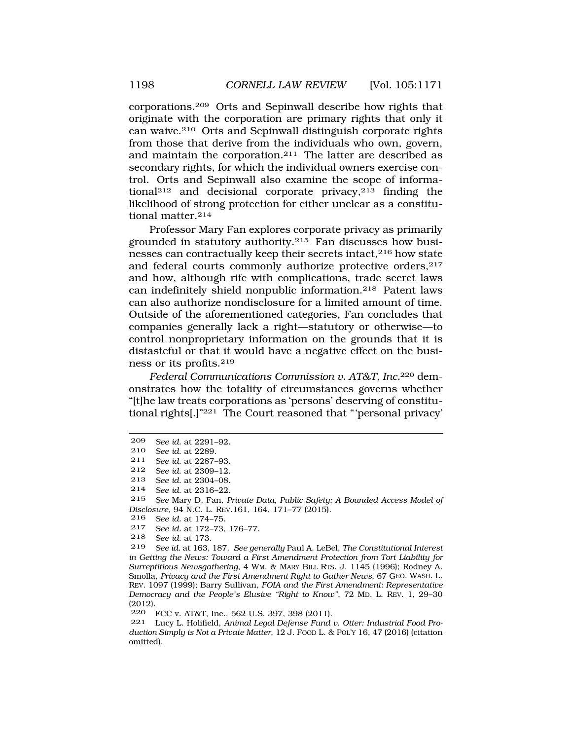corporations.209 Orts and Sepinwall describe how rights that originate with the corporation are primary rights that only it can waive.210 Orts and Sepinwall distinguish corporate rights from those that derive from the individuals who own, govern, and maintain the corporation.211 The latter are described as secondary rights, for which the individual owners exercise control. Orts and Sepinwall also examine the scope of informational212 and decisional corporate privacy,213 finding the likelihood of strong protection for either unclear as a constitutional matter.214

Professor Mary Fan explores corporate privacy as primarily grounded in statutory authority.215 Fan discusses how businesses can contractually keep their secrets intact,216 how state and federal courts commonly authorize protective orders, <sup>217</sup> and how, although rife with complications, trade secret laws can indefinitely shield nonpublic information.218 Patent laws can also authorize nondisclosure for a limited amount of time. Outside of the aforementioned categories, Fan concludes that companies generally lack a right—statutory or otherwise—to control nonproprietary information on the grounds that it is distasteful or that it would have a negative effect on the business or its profits.219

*Federal Communications Commission v. AT&T, Inc.*220 demonstrates how the totality of circumstances governs whether "[t]he law treats corporations as 'persons' deserving of constitutional rights[.]"221 The Court reasoned that "'personal privacy'

213 *See id.* at 2304–08.

215 *See* Mary D. Fan, *Private Data, Public Safety: A Bounded Access Model of Disclosure*, 94 N.C. L. REV.161, 164, 171–77 (2015).

- 216 *See id.* at 174–75.
- 217 *See id.* at 172–73, 176–77.

220 FCC v. AT&T, Inc., 562 U.S. 397, 398 (2011).

<sup>209</sup> *See id.* at 2291–92.

<sup>210</sup> *See id.* at 2289.

See id. at 2287-93.

<sup>212</sup> *See id.* at 2309–12.

<sup>214</sup> *See id.* at 2316–22.

<sup>218</sup> *See id.* at 173.

<sup>219</sup> *See id.* at 163, 187. *See generally* Paul A. LeBel, *The Constitutional Interest in Getting the News: Toward a First Amendment Protection from Tort Liability for Surreptitious Newsgathering*, 4 WM. & MARY BILL RTS. J. 1145 (1996); Rodney A. Smolla, *Privacy and the First Amendment Right to Gather News*, 67 GEO. WASH. L. REV. 1097 (1999); Barry Sullivan, *FOIA and the First Amendment: Representative Democracy and the People's Elusive "Right to Know"*, 72 MD. L. REV. 1, 29–30 (2012).

<sup>221</sup> Lucy L. Holifield, *Animal Legal Defense Fund v. Otter: Industrial Food Production Simply is Not a Private Matter*, 12 J. FOOD L. & POL'Y 16, 47 (2016) (citation omitted).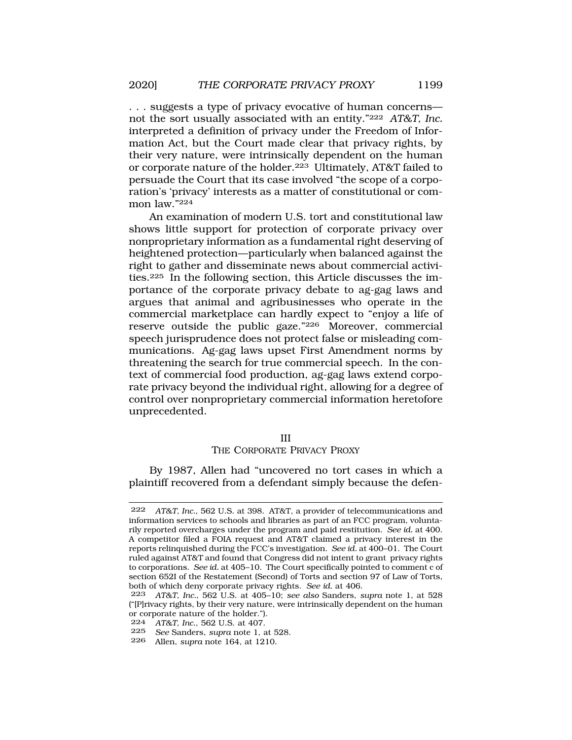. . . suggests a type of privacy evocative of human concerns not the sort usually associated with an entity."222 *AT&T, Inc.*  interpreted a definition of privacy under the Freedom of Information Act, but the Court made clear that privacy rights, by their very nature, were intrinsically dependent on the human or corporate nature of the holder.223 Ultimately, AT&T failed to persuade the Court that its case involved "the scope of a corporation's 'privacy' interests as a matter of constitutional or common law."224

An examination of modern U.S. tort and constitutional law shows little support for protection of corporate privacy over nonproprietary information as a fundamental right deserving of heightened protection—particularly when balanced against the right to gather and disseminate news about commercial activities.225 In the following section, this Article discusses the importance of the corporate privacy debate to ag-gag laws and argues that animal and agribusinesses who operate in the commercial marketplace can hardly expect to "enjoy a life of reserve outside the public gaze."226 Moreover, commercial speech jurisprudence does not protect false or misleading communications. Ag-gag laws upset First Amendment norms by threatening the search for true commercial speech. In the context of commercial food production, ag-gag laws extend corporate privacy beyond the individual right, allowing for a degree of control over nonproprietary commercial information heretofore unprecedented.

## III

## THE CORPORATE PRIVACY PROXY

By 1987, Allen had "uncovered no tort cases in which a plaintiff recovered from a defendant simply because the defen-

<sup>222</sup> *AT&T, Inc.*, 562 U.S. at 398. AT&T, a provider of telecommunications and information services to schools and libraries as part of an FCC program, voluntarily reported overcharges under the program and paid restitution. *See id.* at 400. A competitor filed a FOIA request and AT&T claimed a privacy interest in the reports relinquished during the FCC's investigation. *See id.* at 400–01. The Court ruled against AT&T and found that Congress did not intent to grant privacy rights to corporations. *See id.* at 405–10. The Court specifically pointed to comment c of section 652I of the Restatement (Second) of Torts and section 97 of Law of Torts, both of which deny corporate privacy rights. *See id.* at 406.

<sup>223</sup> *AT&T, Inc.*, 562 U.S. at 405–10; *see also* Sanders, *supra* note 1, at 528 ("[P]rivacy rights, by their very nature, were intrinsically dependent on the human or corporate nature of the holder.").

<sup>224</sup> *AT&T, Inc.*, 562 U.S. at 407.

<sup>225</sup> *See* Sanders, *supra* note 1, at 528.

<sup>226</sup> Allen, *supra* note 164, at 1210.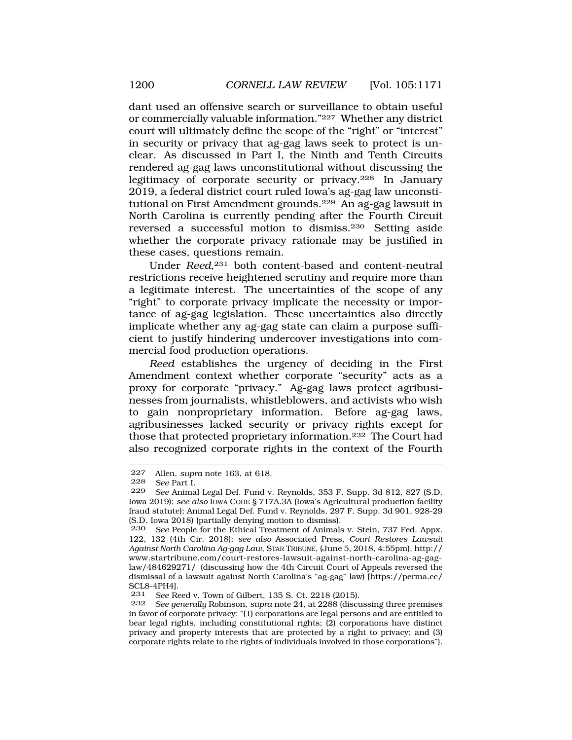dant used an offensive search or surveillance to obtain useful or commercially valuable information."227 Whether any district court will ultimately define the scope of the "right" or "interest" in security or privacy that ag-gag laws seek to protect is unclear. As discussed in Part I, the Ninth and Tenth Circuits rendered ag-gag laws unconstitutional without discussing the legitimacy of corporate security or privacy.228 In January 2019, a federal district court ruled Iowa's ag-gag law unconstitutional on First Amendment grounds.229 An ag-gag lawsuit in North Carolina is currently pending after the Fourth Circuit reversed a successful motion to dismiss.230 Setting aside whether the corporate privacy rationale may be justified in these cases, questions remain.

Under *Reed*,<sup>231</sup> both content-based and content-neutral restrictions receive heightened scrutiny and require more than a legitimate interest. The uncertainties of the scope of any "right" to corporate privacy implicate the necessity or importance of ag-gag legislation. These uncertainties also directly implicate whether any ag-gag state can claim a purpose sufficient to justify hindering undercover investigations into commercial food production operations.

*Reed* establishes the urgency of deciding in the First Amendment context whether corporate "security" acts as a proxy for corporate "privacy." Ag-gag laws protect agribusinesses from journalists, whistleblowers, and activists who wish to gain nonproprietary information. Before ag-gag laws, agribusinesses lacked security or privacy rights except for those that protected proprietary information.232 The Court had also recognized corporate rights in the context of the Fourth

<sup>227</sup> Allen, *supra* note 163, at 618.

<sup>228</sup> *See* Part I.

<sup>229</sup> *See* Animal Legal Def. Fund v. Reynolds, 353 F. Supp. 3d 812, 827 (S.D. Iowa 2019); *see also* IOWA CODE § 717A.3A (Iowa's Agricultural production facility fraud statute); Animal Legal Def. Fund v. Reynolds, 297 F. Supp. 3d 901, 928-29 (S.D. Iowa 2018) (partially denying motion to dismiss).<br>230 See People for the Ethical Treatment of Animals

See People for the Ethical Treatment of Animals v. Stein, 737 Fed. Appx. 122, 132 (4th Cir. 2018); *see also* Associated Press, *Court Restores Lawsuit Against North Carolina Ag-gag Law*, STAR TRIBUNE, (June 5, 2018, 4:55pm), http:// <www.startribune.com/court-restores-lawsuit-against-north-carolina-ag-gag>law/484629271/ (discussing how the 4th Circuit Court of Appeals reversed the dismissal of a lawsuit against North Carolina's "ag-gag" law) [\[https://perma.cc/](https://perma.cc) SCL8-4PH4].<br>231 See Re

<sup>231</sup> *See* Reed v. Town of Gilbert, 135 S. Ct. 2218 (2015).

<sup>232</sup> *See generally* Robinson, *supra* note 24, at 2288 (discussing three premises in favor of corporate privacy: "(1) corporations are legal persons and are entitled to bear legal rights, including constitutional rights; (2) corporations have distinct privacy and property interests that are protected by a right to privacy; and (3) corporate rights relate to the rights of individuals involved in those corporations").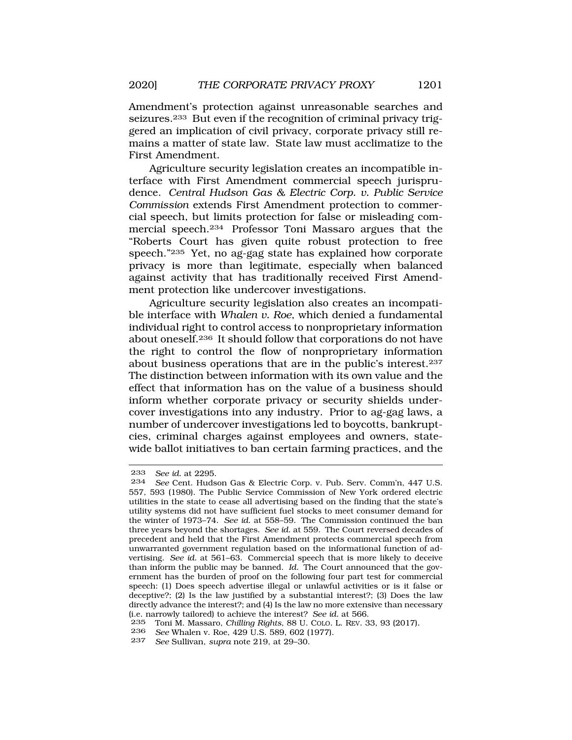Amendment's protection against unreasonable searches and seizures.233 But even if the recognition of criminal privacy triggered an implication of civil privacy, corporate privacy still remains a matter of state law. State law must acclimatize to the First Amendment.

Agriculture security legislation creates an incompatible interface with First Amendment commercial speech jurisprudence. *Central Hudson Gas & Electric Corp. v. Public Service Commission* extends First Amendment protection to commercial speech, but limits protection for false or misleading commercial speech.234 Professor Toni Massaro argues that the "Roberts Court has given quite robust protection to free speech."235 Yet, no ag-gag state has explained how corporate privacy is more than legitimate, especially when balanced against activity that has traditionally received First Amendment protection like undercover investigations.

Agriculture security legislation also creates an incompatible interface with *Whalen v. Roe*, which denied a fundamental individual right to control access to nonproprietary information about oneself.236 It should follow that corporations do not have the right to control the flow of nonproprietary information about business operations that are in the public's interest.237 The distinction between information with its own value and the effect that information has on the value of a business should inform whether corporate privacy or security shields undercover investigations into any industry. Prior to ag-gag laws, a number of undercover investigations led to boycotts, bankruptcies, criminal charges against employees and owners, statewide ballot initiatives to ban certain farming practices, and the

<sup>233</sup> *See id.* at 2295.

<sup>234</sup> *See* Cent. Hudson Gas & Electric Corp. v. Pub. Serv. Comm'n, 447 U.S. 557, 593 (1980). The Public Service Commission of New York ordered electric utilities in the state to cease all advertising based on the finding that the state's utility systems did not have sufficient fuel stocks to meet consumer demand for the winter of 1973–74. *See id.* at 558–59. The Commission continued the ban three years beyond the shortages. *See id.* at 559. The Court reversed decades of precedent and held that the First Amendment protects commercial speech from unwarranted government regulation based on the informational function of advertising. *See id.* at 561–63. Commercial speech that is more likely to deceive than inform the public may be banned. *Id.* The Court announced that the government has the burden of proof on the following four part test for commercial speech: (1) Does speech advertise illegal or unlawful activities or is it false or deceptive?; (2) Is the law justified by a substantial interest?; (3) Does the law directly advance the interest?; and (4) Is the law no more extensive than necessary (i.e. narrowly tailored) to achieve the interest? *See id.* at 566.

<sup>235</sup> Toni M. Massaro, *Chilling Rights*, 88 U. COLO. L. REV. 33, 93 (2017)*.* 236 *See* Whalen v. Roe, 429 U.S. 589, 602 (1977).

<sup>237</sup> *See* Sullivan, *supra* note 219, at 29–30.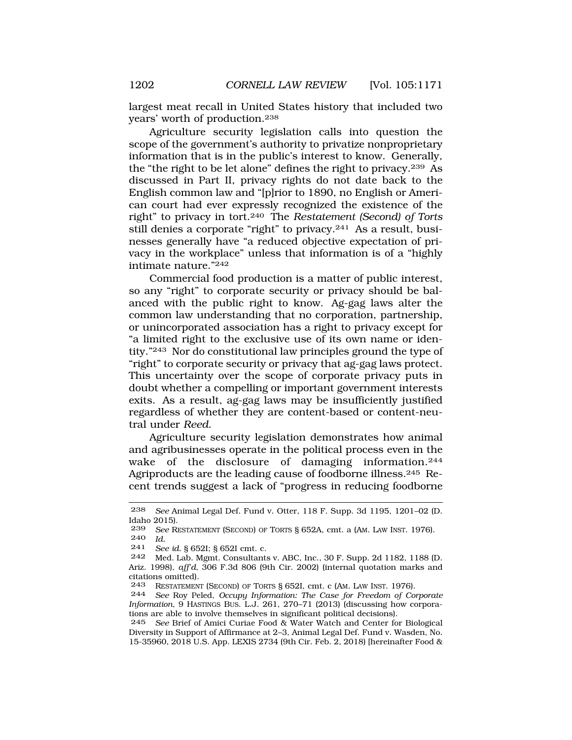largest meat recall in United States history that included two years' worth of production.238

Agriculture security legislation calls into question the scope of the government's authority to privatize nonproprietary information that is in the public's interest to know. Generally, the "the right to be let alone" defines the right to privacy.239 As discussed in Part II, privacy rights do not date back to the English common law and "[p]rior to 1890, no English or American court had ever expressly recognized the existence of the right" to privacy in tort.240 The *Restatement (Second) of Torts*  still denies a corporate "right" to privacy.241 As a result, businesses generally have "a reduced objective expectation of privacy in the workplace" unless that information is of a "highly intimate nature."242

Commercial food production is a matter of public interest, so any "right" to corporate security or privacy should be balanced with the public right to know. Ag-gag laws alter the common law understanding that no corporation, partnership, or unincorporated association has a right to privacy except for "a limited right to the exclusive use of its own name or identity."243 Nor do constitutional law principles ground the type of "right" to corporate security or privacy that ag-gag laws protect. This uncertainty over the scope of corporate privacy puts in doubt whether a compelling or important government interests exits. As a result, ag-gag laws may be insufficiently justified regardless of whether they are content-based or content-neutral under *Reed*.

Agriculture security legislation demonstrates how animal and agribusinesses operate in the political process even in the wake of the disclosure of damaging information.<sup>244</sup> Agriproducts are the leading cause of foodborne illness.<sup>245</sup> Recent trends suggest a lack of "progress in reducing foodborne

<sup>238</sup> *See* Animal Legal Def. Fund v. Otter, 118 F. Supp. 3d 1195, 1201–02 (D. Idaho 2015).<br>239 See Ri

See RESTATEMENT (SECOND) OF TORTS § 652A, cmt. a (AM. LAW INST. 1976). 240 *Id.* 

<sup>241</sup> *See id.* § 652I; § 652I cmt. c.

Med. Lab. Mgmt. Consultants v. ABC, Inc., 30 F. Supp. 2d 1182, 1188 (D. Ariz. 1998), *aff'd*, 306 F.3d 806 (9th Cir. 2002) (internal quotation marks and citations omitted).<br>243 RESTATEMEN

<sup>243</sup> RESTATEMENT (SECOND) OF TORTS § 652I, cmt. c (AM. LAW INST. 1976).<br>244 See Roy Peled, Occupu Information: The Case for Freedom of Co.

See Roy Peled, *Occupy Information: The Case for Freedom of Corporate Information*, 9 HASTINGS BUS. L.J. 261, 270–71 (2013) (discussing how corporations are able to involve themselves in significant political decisions).

<sup>245</sup> *See* Brief of Amici Curiae Food & Water Watch and Center for Biological Diversity in Support of Affirmance at 2–3, Animal Legal Def. Fund v. Wasden, No. 15-35960, 2018 U.S. App. LEXIS 2734 (9th Cir. Feb. 2, 2018) [hereinafter Food &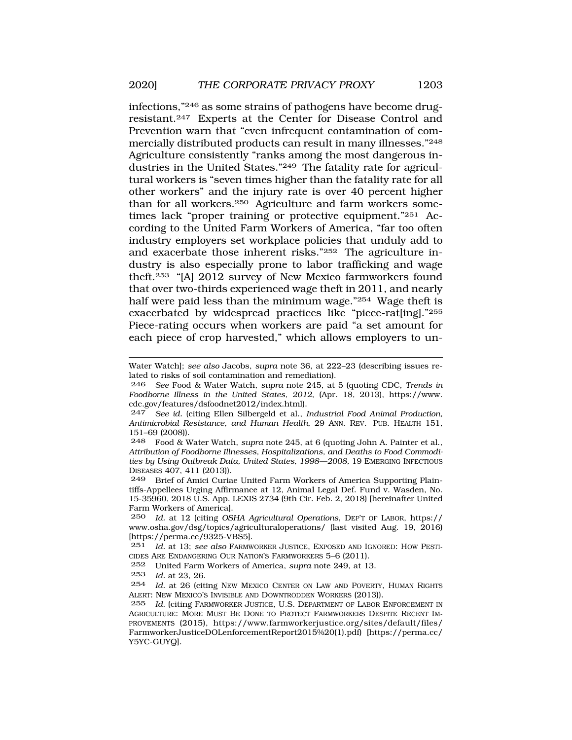infections,"246 as some strains of pathogens have become drugresistant.247 Experts at the Center for Disease Control and Prevention warn that "even infrequent contamination of commercially distributed products can result in many illnesses."248 Agriculture consistently "ranks among the most dangerous industries in the United States."249 The fatality rate for agricultural workers is "seven times higher than the fatality rate for all other workers" and the injury rate is over 40 percent higher than for all workers.250 Agriculture and farm workers sometimes lack "proper training or protective equipment."251 According to the United Farm Workers of America, "far too often industry employers set workplace policies that unduly add to and exacerbate those inherent risks."252 The agriculture industry is also especially prone to labor trafficking and wage theft.253 "[A] 2012 survey of New Mexico farmworkers found that over two-thirds experienced wage theft in 2011, and nearly half were paid less than the minimum wage."<sup>254</sup> Wage theft is exacerbated by widespread practices like "piece-rat[ing]."255 Piece-rating occurs when workers are paid "a set amount for each piece of crop harvested," which allows employers to un-

252 United Farm Workers of America, *supra* note 249, at 13.

253 *Id.* at 23, 26.

Water Watch]; *see also* Jacobs, *supra* note 36, at 222–23 (describing issues related to risks of soil contamination and remediation).

<sup>246</sup> *See* Food & Water Watch, *supra* note 245, at 5 (quoting CDC, *Trends in Foodborne Illness in the United States, 2012*, (Apr. 18, 2013), <https://www>. [cdc.gov/features/dsfoodnet2012/index.html\)](https://cdc.gov/features/dsfoodnet2012/index.html).

<sup>247</sup> *See id.* (citing Ellen Silbergeld et al., *Industrial Food Animal Production, Antimicrobial Resistance, and Human Health*, 29 ANN. REV. PUB. HEALTH 151, 151–69 (2008)).

<sup>248</sup> Food & Water Watch, *supra* note 245, at 6 (quoting John A. Painter et al., *Attribution of Foodborne Illnesses, Hospitalizations, and Deaths to Food Commodities by Using Outbreak Data, United States, 1998—2008,* 19 EMERGING INFECTIOUS DISEASES 407, 411 (2013)).

<sup>249</sup> Brief of Amici Curiae United Farm Workers of America Supporting Plaintiffs-Appellees Urging Affirmance at 12, Animal Legal Def. Fund v. Wasden, No. 15-35960, 2018 U.S. App. LEXIS 2734 (9th Cir. Feb. 2, 2018) [hereinafter United Farm Workers of America].

<sup>250</sup> *Id.* at 12 (citing *OSHA Agricultural Operations*, DEP'T OF LABOR, https:// [www.osha.gov/dsg/topics/agriculturaloperations/](www.osha.gov/dsg/topics/agriculturaloperations) (last visited Aug. 19, 2016) [[https://perma.cc/9325-VBS5\]](https://perma.cc/9325-VBS5).<br>251 *Id.* at 13: see also FARMW

Id. at 13; see also FARMWORKER JUSTICE, EXPOSED AND IGNORED: HOW PESTI-CIDES ARE ENDANGERING OUR NATION'S FARMWORKERS 5–6 (2011).

<sup>254</sup> *Id.* at 26 (citing NEW MEXICO CENTER ON LAW AND POVERTY, HUMAN RIGHTS ALERT: NEW MEXICO'S INVISIBLE AND DOWNTRODDEN WORKERS (2013)).

<sup>255</sup> *Id.* (citing FARMWORKER JUSTICE, U.S. DEPARTMENT OF LABOR ENFORCEMENT IN AGRICULTURE: MORE MUST BE DONE TO PROTECT FARMWORKERS DESPITE RECENT IM-PROVEMENTS (2015), [https://www.farmworkerjustice.org/sites/default/files/](https://www.farmworkerjustice.org/sites/default/files) FarmworkerJusticeDOLenforcementReport2015%20(1).pdf) [\[https://perma.cc/](https://perma.cc) Y5YC-GUYQ].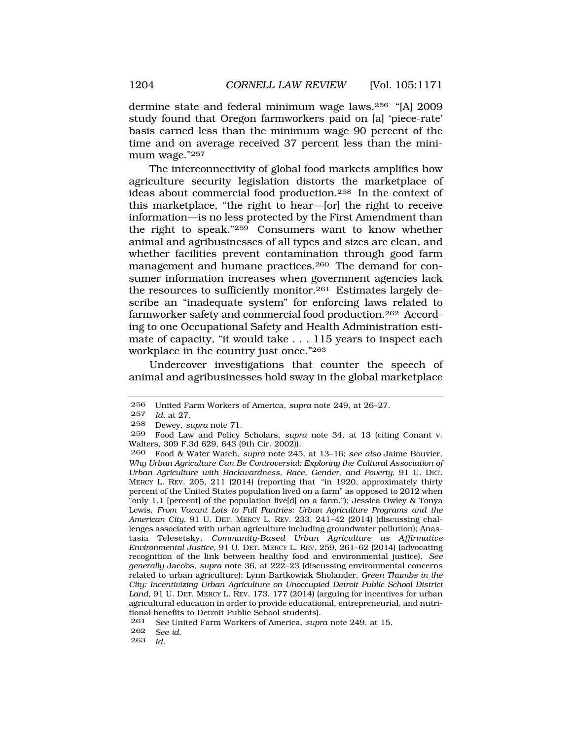dermine state and federal minimum wage laws.256 "[A] 2009 study found that Oregon farmworkers paid on [a] 'piece-rate' basis earned less than the minimum wage 90 percent of the time and on average received 37 percent less than the minimum wage."257

The interconnectivity of global food markets amplifies how agriculture security legislation distorts the marketplace of ideas about commercial food production.258 In the context of this marketplace, "the right to hear—[or] the right to receive information—is no less protected by the First Amendment than the right to speak."259 Consumers want to know whether animal and agribusinesses of all types and sizes are clean, and whether facilities prevent contamination through good farm management and humane practices.<sup>260</sup> The demand for consumer information increases when government agencies lack the resources to sufficiently monitor.<sup>261</sup> Estimates largely describe an "inadequate system" for enforcing laws related to farmworker safety and commercial food production.262 According to one Occupational Safety and Health Administration estimate of capacity, "it would take . . . 115 years to inspect each workplace in the country just once."263

Undercover investigations that counter the speech of animal and agribusinesses hold sway in the global marketplace

<sup>256</sup> United Farm Workers of America, *supra* note 249, at 26–27.

<sup>257</sup> *Id.* at 27.

<sup>258</sup> Dewey, *supra* note 71.

<sup>259</sup> Food Law and Policy Scholars, *supra* note 34, at 13 (citing Conant v. Walters, 309 F.3d 629, 643 (9th Cir. 2002)).

<sup>260</sup> Food & Water Watch, *supra* note 245, at 13–16; *see also* Jaime Bouvier, *Why Urban Agriculture Can Be Controversial: Exploring the Cultural Association of Urban Agriculture with Backwardness, Race, Gender, and Poverty*, 91 U. DET. MERCY L. REV. 205, 211 (2014) (reporting that "in 1920, approximately thirty percent of the United States population lived on a farm" as opposed to 2012 when "only 1.1 [percent] of the population live[d] on a farm."); Jessica Owley & Tonya Lewis, *From Vacant Lots to Full Pantries: Urban Agriculture Programs and the American City*, 91 U. DET. MERCY L. REV. 233, 241–42 (2014) (discussing challenges associated with urban agriculture including groundwater pollution); Anastasia Telesetsky, *Community-Based Urban Agriculture as Affirmative Environmental Justice*, 91 U. DET. MERCY L. REV. 259, 261–62 (2014) (advocating recognition of the link between healthy food and environmental justice). *See generally* Jacobs, *supra* note 36, at 222–23 (discussing environmental concerns related to urban agriculture); Lynn Bartkowiak Sholander, *Green Thumbs in the City: Incentivizing Urban Agriculture on Unoccupied Detroit Public School District Land*, 91 U. DET. MERCY L. REV. 173, 177 (2014) (arguing for incentives for urban agricultural education in order to provide educational, entrepreneurial, and nutritional benefits to Detroit Public School students).

<sup>261</sup> *See* United Farm Workers of America, *supra* note 249, at 15.

<sup>262</sup> *See id.* 

<sup>263</sup> *Id.*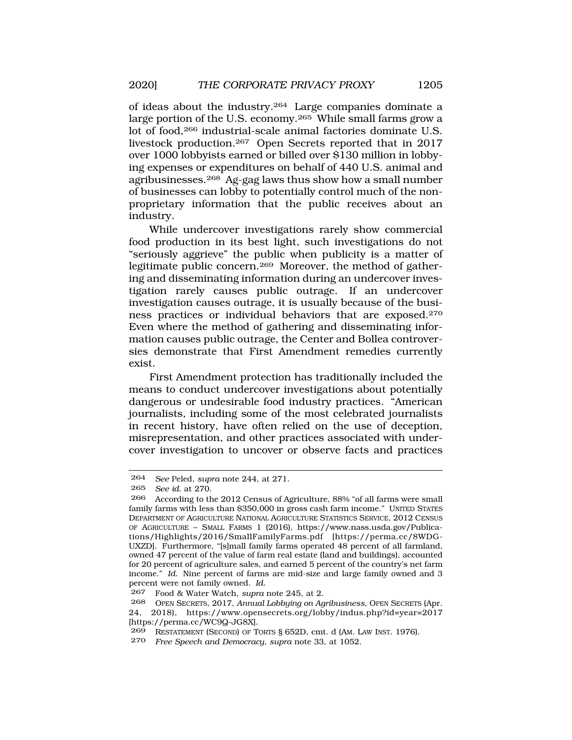of ideas about the industry.264 Large companies dominate a large portion of the U.S. economy.<sup>265</sup> While small farms grow a lot of food,266 industrial-scale animal factories dominate U.S. livestock production.267 Open Secrets reported that in 2017 over 1000 lobbyists earned or billed over \$130 million in lobbying expenses or expenditures on behalf of 440 U.S. animal and agribusinesses.268 Ag-gag laws thus show how a small number of businesses can lobby to potentially control much of the nonproprietary information that the public receives about an industry.

While undercover investigations rarely show commercial food production in its best light, such investigations do not "seriously aggrieve" the public when publicity is a matter of legitimate public concern.269 Moreover, the method of gathering and disseminating information during an undercover investigation rarely causes public outrage. If an undercover investigation causes outrage, it is usually because of the business practices or individual behaviors that are exposed.270 Even where the method of gathering and disseminating information causes public outrage, the Center and Bollea controversies demonstrate that First Amendment remedies currently exist.

First Amendment protection has traditionally included the means to conduct undercover investigations about potentially dangerous or undesirable food industry practices. "American journalists, including some of the most celebrated journalists in recent history, have often relied on the use of deception, misrepresentation, and other practices associated with undercover investigation to uncover or observe facts and practices

<sup>264</sup> *See* Peled, *supra* note 244, at 271.

<sup>265</sup> *See id.* at 270.

<sup>266</sup> According to the 2012 Census of Agriculture, 88% "of all farms were small family farms with less than \$350,000 in gross cash farm income." UNITED STATES DEPARTMENT OF AGRICULTURE NATIONAL AGRICULTURE STATISTICS SERVICE, 2012 CENSUS OF AGRICULTURE – SMALL FARMS 1 (2016), <https://www.nass.usda.gov/Publica>tions/Highlights/2016/SmallFamilyFarms.pdf [<https://perma.cc/8WDG>-UXZD]. Furthermore, "[s]mall family farms operated 48 percent of all farmland, owned 47 percent of the value of farm real estate (land and buildings), accounted for 20 percent of agriculture sales, and earned 5 percent of the country's net farm income." *Id.* Nine percent of farms are mid-size and large family owned and 3 percent were not family owned. *Id.* 

<sup>267</sup> Food & Water Watch, *supra* note 245, at 2.

<sup>268</sup> OPEN SECRETS, 2017, *Annual Lobbying on Agribusiness*, OPEN SECRETS (Apr. 24, 2018), <https://www.opensecrets.org/lobby/indus.php?id=year=2017> [<https://perma.cc/WC9Q-JG8X>].

<sup>269</sup> RESTATEMENT (SECOND) OF TORTS § 652D, cmt. d (AM. LAW INST. 1976).

<sup>270</sup> *Free Speech and Democracy*, *supra* note 33, at 1052.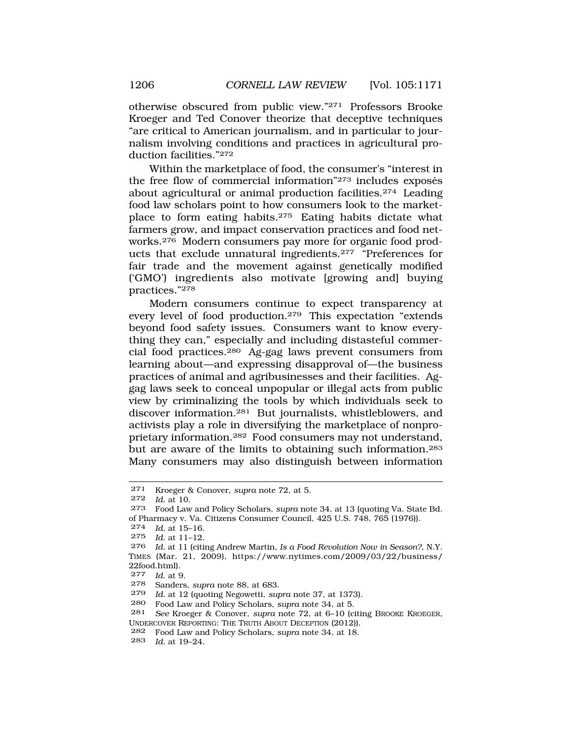otherwise obscured from public view."271 Professors Brooke Kroeger and Ted Conover theorize that deceptive techniques "are critical to American journalism, and in particular to journalism involving conditions and practices in agricultural production facilities."272

Within the marketplace of food, the consumer's "interest in the free flow of commercial information" $273$  includes exposés about agricultural or animal production facilities.274 Leading food law scholars point to how consumers look to the marketplace to form eating habits.275 Eating habits dictate what farmers grow, and impact conservation practices and food networks.276 Modern consumers pay more for organic food products that exclude unnatural ingredients.277 "Preferences for fair trade and the movement against genetically modified ('GMO') ingredients also motivate [growing and] buying practices."278

Modern consumers continue to expect transparency at every level of food production.279 This expectation "extends beyond food safety issues. Consumers want to know everything they can," especially and including distasteful commercial food practices.280 Ag-gag laws prevent consumers from learning about—and expressing disapproval of—the business practices of animal and agribusinesses and their facilities. Aggag laws seek to conceal unpopular or illegal acts from public view by criminalizing the tools by which individuals seek to discover information.281 But journalists, whistleblowers, and activists play a role in diversifying the marketplace of nonproprietary information.282 Food consumers may not understand, but are aware of the limits to obtaining such information.283 Many consumers may also distinguish between information

277 *Id.* at 9.

<sup>271</sup> Kroeger & Conover, *supra* note 72, at 5.

*Id.* at 10.

<sup>273</sup> Food Law and Policy Scholars, *supra* note 34, at 13 (quoting Va. State Bd. of Pharmacy v. Va. Citizens Consumer Council, 425 U.S. 748, 765 (1976)).

<sup>274</sup> *Id.* at 15–16.

*Id.* at 11-12.

<sup>276</sup> *Id.* at 11 (citing Andrew Martin, *Is a Food Revolution Now in Season?*, N.Y. TIMES (Mar. 21, 2009), [https://www.nytimes.com/2009/03/22/business/](https://www.nytimes.com/2009/03/22/business) 22food.html).

<sup>278</sup> Sanders, *supra* note 88, at 683.

<sup>279</sup> *Id.* at 12 (quoting Negowetti, *supra* note 37, at 1373).

<sup>280</sup> Food Law and Policy Scholars, *supra* note 34, at 5.

<sup>281</sup> *See* Kroeger & Conover, *supra* note 72, at 6–10 (citing BROOKE KROEGER, UNDERCOVER REPORTING: THE TRUTH ABOUT DECEPTION (2012)).

<sup>282</sup> Food Law and Policy Scholars, *supra* note 34, at 18.

<sup>283</sup> *Id.* at 19–24.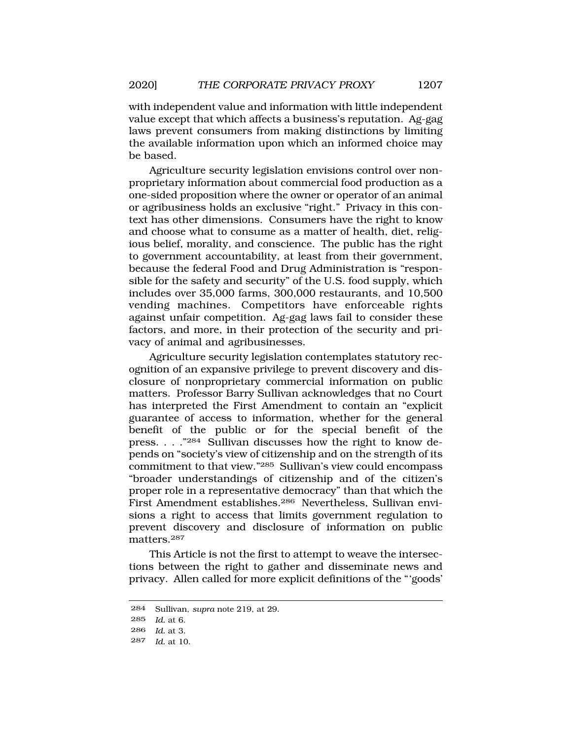with independent value and information with little independent value except that which affects a business's reputation. Ag-gag laws prevent consumers from making distinctions by limiting the available information upon which an informed choice may be based.

Agriculture security legislation envisions control over nonproprietary information about commercial food production as a one-sided proposition where the owner or operator of an animal or agribusiness holds an exclusive "right." Privacy in this context has other dimensions. Consumers have the right to know and choose what to consume as a matter of health, diet, religious belief, morality, and conscience. The public has the right to government accountability, at least from their government, because the federal Food and Drug Administration is "responsible for the safety and security" of the U.S. food supply, which includes over 35,000 farms, 300,000 restaurants, and 10,500 vending machines. Competitors have enforceable rights against unfair competition. Ag-gag laws fail to consider these factors, and more, in their protection of the security and privacy of animal and agribusinesses.

Agriculture security legislation contemplates statutory recognition of an expansive privilege to prevent discovery and disclosure of nonproprietary commercial information on public matters. Professor Barry Sullivan acknowledges that no Court has interpreted the First Amendment to contain an "explicit guarantee of access to information, whether for the general benefit of the public or for the special benefit of the press. . . ."284 Sullivan discusses how the right to know depends on "society's view of citizenship and on the strength of its commitment to that view."285 Sullivan's view could encompass "broader understandings of citizenship and of the citizen's proper role in a representative democracy" than that which the First Amendment establishes.286 Nevertheless, Sullivan envisions a right to access that limits government regulation to prevent discovery and disclosure of information on public matters.287

This Article is not the first to attempt to weave the intersections between the right to gather and disseminate news and privacy. Allen called for more explicit definitions of the "'goods'

<sup>284</sup> Sullivan, *supra* note 219, at 29.

<sup>285</sup> *Id.* at 6.

<sup>286</sup> *Id.* at 3.

<sup>287</sup> *Id.* at 10.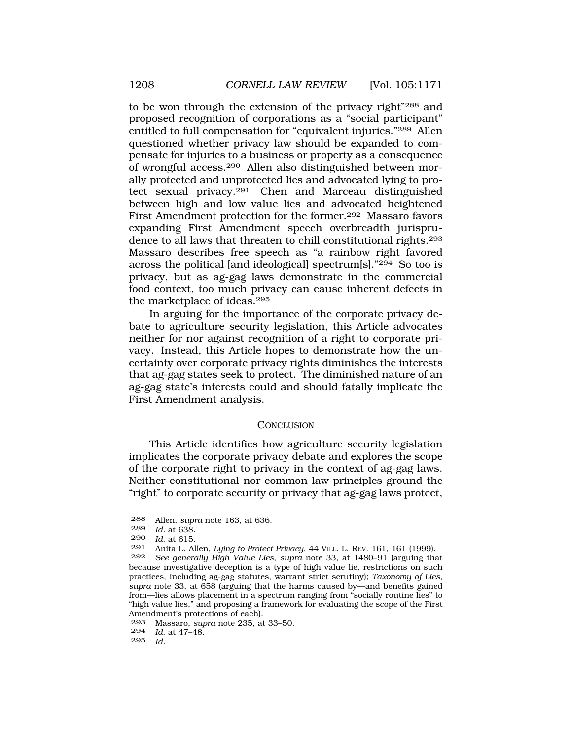to be won through the extension of the privacy right"288 and proposed recognition of corporations as a "social participant" entitled to full compensation for "equivalent injuries."289 Allen questioned whether privacy law should be expanded to compensate for injuries to a business or property as a consequence of wrongful access.290 Allen also distinguished between morally protected and unprotected lies and advocated lying to protect sexual privacy.291 Chen and Marceau distinguished between high and low value lies and advocated heightened First Amendment protection for the former.292 Massaro favors expanding First Amendment speech overbreadth jurisprudence to all laws that threaten to chill constitutional rights.293 Massaro describes free speech as "a rainbow right favored across the political [and ideological] spectrum[s]."294 So too is privacy, but as ag-gag laws demonstrate in the commercial food context, too much privacy can cause inherent defects in the marketplace of ideas.295

In arguing for the importance of the corporate privacy debate to agriculture security legislation, this Article advocates neither for nor against recognition of a right to corporate privacy. Instead, this Article hopes to demonstrate how the uncertainty over corporate privacy rights diminishes the interests that ag-gag states seek to protect. The diminished nature of an ag-gag state's interests could and should fatally implicate the First Amendment analysis.

## **CONCLUSION**

This Article identifies how agriculture security legislation implicates the corporate privacy debate and explores the scope of the corporate right to privacy in the context of ag-gag laws. Neither constitutional nor common law principles ground the "right" to corporate security or privacy that ag-gag laws protect,

<sup>288</sup> Allen, *supra* note 163, at 636.

*Id.* at 638.

<sup>290</sup> *Id.* at 615.

<sup>291</sup> Anita L. Allen, *Lying to Protect Privacy*, 44 VILL. L. REV. 161, 161 (1999).

<sup>292</sup> *See generally High Value Lies*, *supra* note 33, at 1480–91 (arguing that because investigative deception is a type of high value lie, restrictions on such practices, including ag-gag statutes, warrant strict scrutiny); *Taxonomy of Lies*, *supra* note 33, at 658 (arguing that the harms caused by—and benefits gained from—lies allows placement in a spectrum ranging from "socially routine lies" to "high value lies," and proposing a framework for evaluating the scope of the First Amendment's protections of each).

<sup>293</sup> Massaro, *supra* note 235, at 33–50.

<sup>294</sup> *Id.* at 47–48.

<sup>295</sup> *Id.*